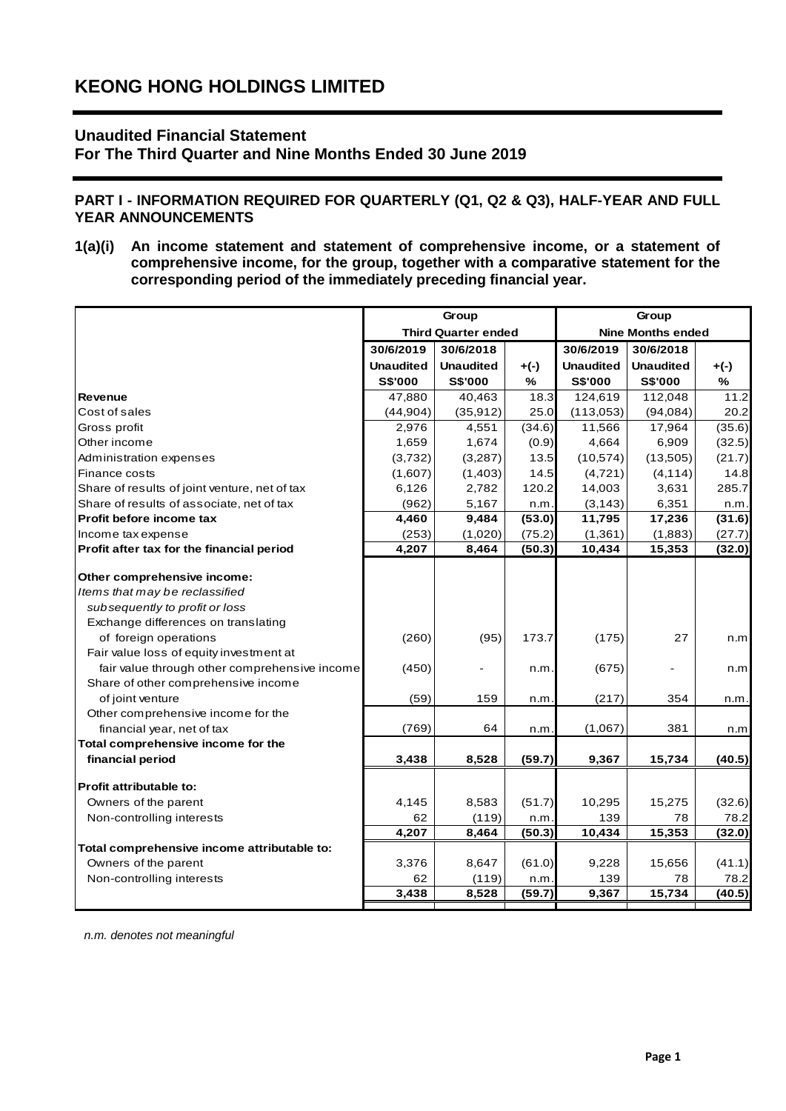# **Unaudited Financial Statement**

**For The Third Quarter and Nine Months Ended 30 June 2019**

## **PART I - INFORMATION REQUIRED FOR QUARTERLY (Q1, Q2 & Q3), HALF-YEAR AND FULL YEAR ANNOUNCEMENTS**

**1(a)(i) An income statement and statement of comprehensive income, or a statement of comprehensive income, for the group, together with a comparative statement for the corresponding period of the immediately preceding financial year.**

|                                               |                  | Group                      |        |                  | Group                    |        |
|-----------------------------------------------|------------------|----------------------------|--------|------------------|--------------------------|--------|
|                                               |                  | <b>Third Quarter ended</b> |        |                  | <b>Nine Months ended</b> |        |
|                                               | 30/6/2019        | 30/6/2018                  |        | 30/6/2019        | 30/6/2018                |        |
|                                               | <b>Unaudited</b> | <b>Unaudited</b>           | $+(-)$ | <b>Unaudited</b> | <b>Unaudited</b>         | $+(-)$ |
|                                               | S\$'000          | S\$'000                    | $\%$   | S\$'000          | <b>S\$'000</b>           | $\%$   |
| Revenue                                       | 47.880           | 40,463                     | 18.3   | 124,619          | 112,048                  | 11.2   |
| Cost of sales                                 | (44, 904)        | (35, 912)                  | 25.0   | (113,053)        | (94,084)                 | 20.2   |
| Gross profit                                  | 2,976            | 4,551                      | (34.6) | 11,566           | 17,964                   | (35.6) |
| Other income                                  | 1,659            | 1,674                      | (0.9)  | 4,664            | 6,909                    | (32.5) |
| Administration expenses                       | (3,732)          | (3,287)                    | 13.5   | (10, 574)        | (13,505)                 | (21.7) |
| Finance costs                                 | (1,607)          | (1, 403)                   | 14.5   | (4,721)          | (4, 114)                 | 14.8   |
| Share of results of joint venture, net of tax | 6,126            | 2,782                      | 120.2  | 14,003           | 3,631                    | 285.7  |
| Share of results of associate, net of tax     | (962)            | 5,167                      | n.m.   | (3, 143)         | 6,351                    | n.m.   |
| Profit before income tax                      | 4,460            | 9,484                      | (53.0) | 11,795           | 17,236                   | (31.6) |
| Income tax expense                            | (253)            | (1,020)                    | (75.2) | (1, 361)         | (1,883)                  | (27.7) |
| Profit after tax for the financial period     | 4,207            | 8,464                      | (50.3) | 10,434           | 15,353                   | (32.0) |
|                                               |                  |                            |        |                  |                          |        |
| Other comprehensive income:                   |                  |                            |        |                  |                          |        |
| Items that may be reclassified                |                  |                            |        |                  |                          |        |
| subsequently to profit or loss                |                  |                            |        |                  |                          |        |
| Exchange differences on translating           |                  |                            |        |                  |                          |        |
| of foreign operations                         | (260)            | (95)                       | 173.7  | (175)            | 27                       | n.m    |
| Fair value loss of equity investment at       |                  |                            |        |                  |                          |        |
| fair value through other comprehensive income | (450)            |                            | n.m.   | (675)            |                          | n.m    |
| Share of other comprehensive income           |                  |                            |        |                  |                          |        |
| of joint venture                              | (59)             | 159                        | n.m    | (217)            | 354                      | n.m.   |
| Other comprehensive income for the            |                  |                            |        |                  |                          |        |
| financial year, net of tax                    | (769)            | 64                         | n.m.   | (1,067)          | 381                      | n.m    |
| Total comprehensive income for the            |                  |                            |        |                  |                          |        |
| financial period                              | 3,438            | 8,528                      | (59.7) | 9,367            | 15,734                   | (40.5) |
| Profit attributable to:                       |                  |                            |        |                  |                          |        |
| Owners of the parent                          | 4,145            | 8,583                      | (51.7) | 10,295           | 15,275                   | (32.6) |
| Non-controlling interests                     | 62               | (119)                      | n.m.   | 139              | 78                       | 78.2   |
|                                               | 4,207            | 8,464                      | (50.3) | 10,434           | 15,353                   | (32.0) |
| Total comprehensive income attributable to:   |                  |                            |        |                  |                          |        |
| Owners of the parent                          | 3,376            | 8,647                      | (61.0) | 9,228            | 15,656                   | (41.1) |
| Non-controlling interests                     | 62               | (119)                      | n.m.   | 139              | 78                       | 78.2   |
|                                               | 3,438            | 8,528                      | (59.7) | 9,367            | 15,734                   | (40.5) |
|                                               |                  |                            |        |                  |                          |        |

*n.m. denotes not meaningful*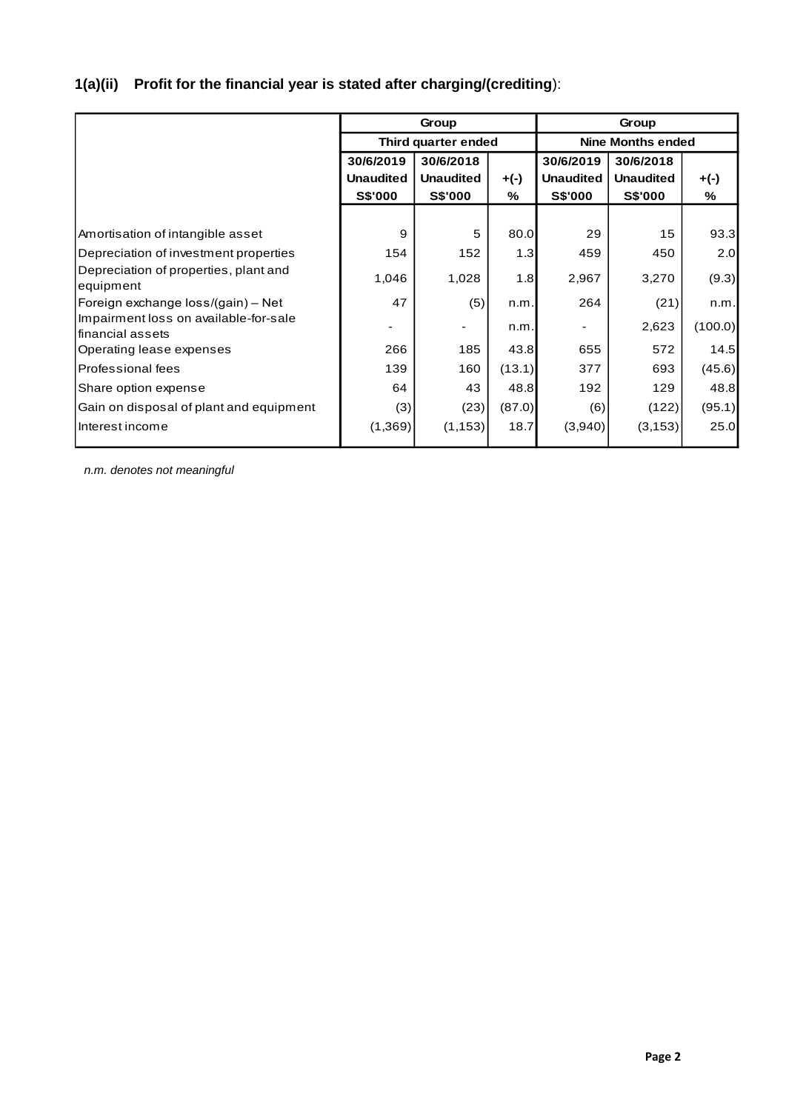# **1(a)(ii) Profit for the financial year is stated after charging/(crediting**):

|                                                            |                     | Group                    |           | Group            |                  |         |  |  |  |
|------------------------------------------------------------|---------------------|--------------------------|-----------|------------------|------------------|---------|--|--|--|
|                                                            | Third quarter ended | <b>Nine Months ended</b> |           |                  |                  |         |  |  |  |
|                                                            | 30/6/2019           | 30/6/2018                | 30/6/2019 |                  |                  |         |  |  |  |
|                                                            | <b>Unaudited</b>    | <b>Unaudited</b>         | $+(-)$    | <b>Unaudited</b> | <b>Unaudited</b> | $+(-)$  |  |  |  |
|                                                            | <b>S\$'000</b>      | <b>S\$'000</b>           | %         | <b>S\$'000</b>   | <b>S\$'000</b>   | %       |  |  |  |
|                                                            |                     |                          |           |                  |                  |         |  |  |  |
| Amortisation of intangible asset                           | 9                   | 5                        | 80.0      | 29               | 15               | 93.3    |  |  |  |
| Depreciation of investment properties                      | 154                 | 152                      | 1.3       | 459              | 450              | 2.0     |  |  |  |
| Depreciation of properties, plant and<br>equipment         | 1,046               | 1,028                    | 1.8       | 2,967            | 3,270            | (9.3)   |  |  |  |
| Foreign exchange loss/(gain) - Net                         | 47                  | (5)                      | n.m.      | 264              | (21)             | n.m.    |  |  |  |
| Impairment loss on available-for-sale<br>lfinancial assets |                     |                          | n.m.      |                  | 2,623            | (100.0) |  |  |  |
| Operating lease expenses                                   | 266                 | 185                      | 43.8      | 655              | 572              | 14.5    |  |  |  |
| <b>Professional fees</b>                                   | 139                 | 160                      | (13.1)    | 377              | 693              | (45.6)  |  |  |  |
| Share option expense                                       | 64                  | 43                       | 48.8      | 192              | 129              | 48.8    |  |  |  |
| Gain on disposal of plant and equipment                    | (3)                 | (23)                     | (87.0)    | (6)              | (122)            | (95.1)  |  |  |  |
| Interest income                                            | (1, 369)            | (1, 153)                 | 18.7      | (3,940)          | (3, 153)         | 25.0    |  |  |  |

*n.m. denotes not meaningful*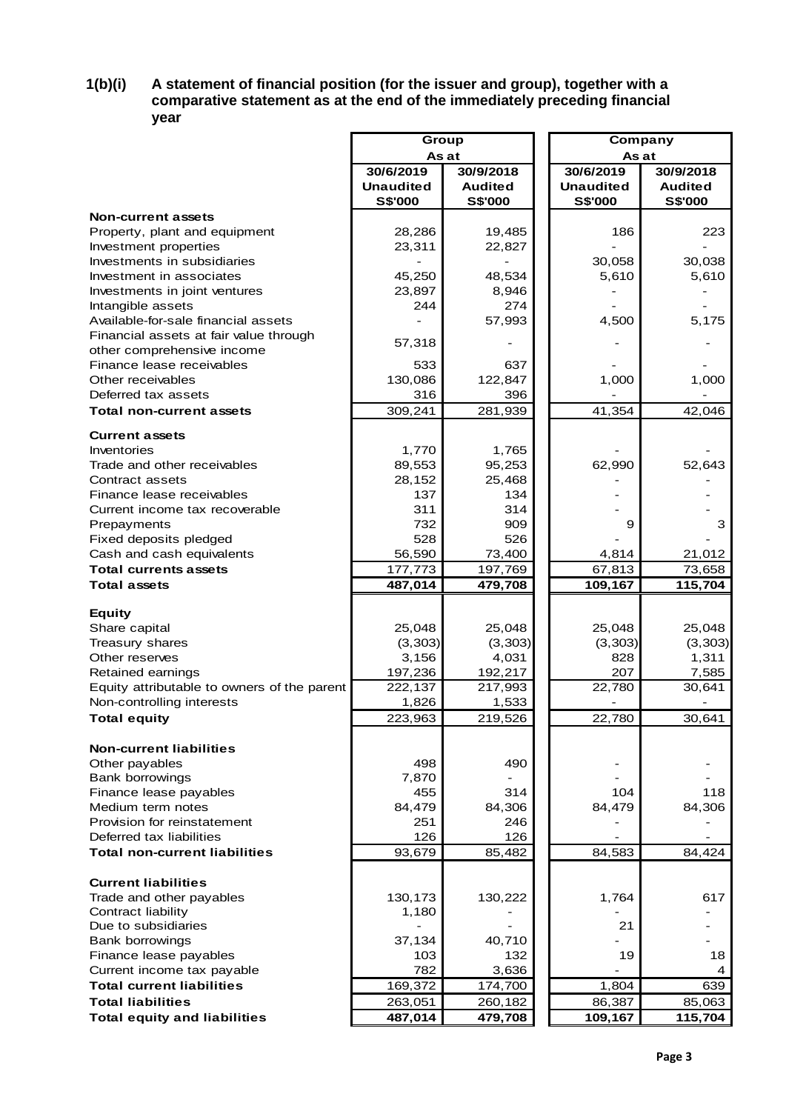## **1(b)(i) A statement of financial position (for the issuer and group), together with a comparative statement as at the end of the immediately preceding financial year**

|                                                         | Group            |                | Company          |                |  |  |
|---------------------------------------------------------|------------------|----------------|------------------|----------------|--|--|
|                                                         | As at            |                |                  | As at          |  |  |
|                                                         | 30/6/2019        | 30/9/2018      | 30/6/2019        | 30/9/2018      |  |  |
|                                                         | <b>Unaudited</b> | <b>Audited</b> | <b>Unaudited</b> | <b>Audited</b> |  |  |
|                                                         | <b>S\$'000</b>   | <b>S\$'000</b> | <b>S\$'000</b>   | S\$'000        |  |  |
| <b>Non-current assets</b>                               |                  |                |                  |                |  |  |
| Property, plant and equipment                           | 28,286           | 19,485         | 186              | 223            |  |  |
| Investment properties                                   | 23,311           | 22,827         |                  |                |  |  |
| Investments in subsidiaries                             |                  |                | 30,058           | 30,038         |  |  |
| Investment in associates                                | 45,250           | 48,534         | 5,610            | 5,610          |  |  |
| Investments in joint ventures                           | 23,897           | 8,946          |                  |                |  |  |
| Intangible assets                                       | 244              | 274            |                  |                |  |  |
| Available-for-sale financial assets                     |                  | 57,993         | 4,500            | 5,175          |  |  |
| Financial assets at fair value through                  | 57,318           |                |                  |                |  |  |
| other comprehensive income<br>Finance lease receivables | 533              | 637            |                  |                |  |  |
| Other receivables                                       | 130,086          | 122,847        | 1,000            | 1,000          |  |  |
| Deferred tax assets                                     | 316              | 396            |                  |                |  |  |
| Total non-current assets                                | 309,241          | 281,939        | 41,354           | 42,046         |  |  |
|                                                         |                  |                |                  |                |  |  |
| <b>Current assets</b>                                   |                  |                |                  |                |  |  |
| Inventories                                             | 1,770            | 1,765          |                  |                |  |  |
| Trade and other receivables                             | 89,553           | 95,253         | 62,990           | 52,643         |  |  |
| Contract assets                                         | 28,152           | 25,468         |                  |                |  |  |
| Finance lease receivables                               | 137              | 134            |                  |                |  |  |
| Current income tax recoverable                          | 311              | 314            |                  |                |  |  |
| Prepayments                                             | 732              | 909            | 9                | 3              |  |  |
| Fixed deposits pledged                                  | 528              | 526            |                  |                |  |  |
| Cash and cash equivalents                               | 56,590           | 73,400         | 4,814            | 21,012         |  |  |
| <b>Total currents assets</b>                            | 177,773          | 197,769        | 67,813           | 73,658         |  |  |
| <b>Total assets</b>                                     | 487,014          | 479,708        | 109,167          | 115,704        |  |  |
| <b>Equity</b>                                           |                  |                |                  |                |  |  |
| Share capital                                           | 25,048           | 25,048         | 25,048           | 25,048         |  |  |
| Treasury shares                                         | (3, 303)         | (3, 303)       | (3,303)          | (3, 303)       |  |  |
| Other reserves                                          | 3,156            | 4,031          | 828              | 1,311          |  |  |
| Retained earnings                                       | 197,236          | 192,217        | 207              | 7,585          |  |  |
| Equity attributable to owners of the parent             | 222,137          | 217,993        | 22,780           | 30,641         |  |  |
| Non-controlling interests                               | 1,826            | 1,533          |                  |                |  |  |
| <b>Total equity</b>                                     | 223,963          | 219,526        | 22.780           | 30,641         |  |  |
|                                                         |                  |                |                  |                |  |  |
| <b>Non-current liabilities</b>                          |                  |                |                  |                |  |  |
| Other payables                                          | 498              | 490            |                  |                |  |  |
| <b>Bank borrowings</b>                                  | 7,870            |                |                  |                |  |  |
| Finance lease payables                                  | 455              | 314            | 104              | 118            |  |  |
| Medium term notes                                       | 84,479           | 84,306         | 84,479           | 84,306         |  |  |
| Provision for reinstatement                             | 251              | 246            |                  |                |  |  |
| Deferred tax liabilities                                | 126              | 126            |                  |                |  |  |
| <b>Total non-current liabilities</b>                    | 93,679           | 85,482         | 84,583           | 84,424         |  |  |
| <b>Current liabilities</b>                              |                  |                |                  |                |  |  |
| Trade and other payables                                | 130,173          | 130,222        | 1,764            | 617            |  |  |
| Contract liability                                      | 1,180            |                |                  |                |  |  |
| Due to subsidiaries                                     |                  |                | 21               |                |  |  |
| <b>Bank borrowings</b>                                  | 37,134           | 40,710         |                  |                |  |  |
| Finance lease payables                                  | 103              | 132            | 19               | 18             |  |  |
| Current income tax payable                              | 782              | 3,636          |                  | 4              |  |  |
| <b>Total current liabilities</b>                        | 169,372          | 174,700        | 1,804            | 639            |  |  |
| <b>Total liabilities</b>                                | 263,051          | 260,182        | 86,387           | 85,063         |  |  |
| <b>Total equity and liabilities</b>                     | 487,014          | 479,708        | 109,167          | 115,704        |  |  |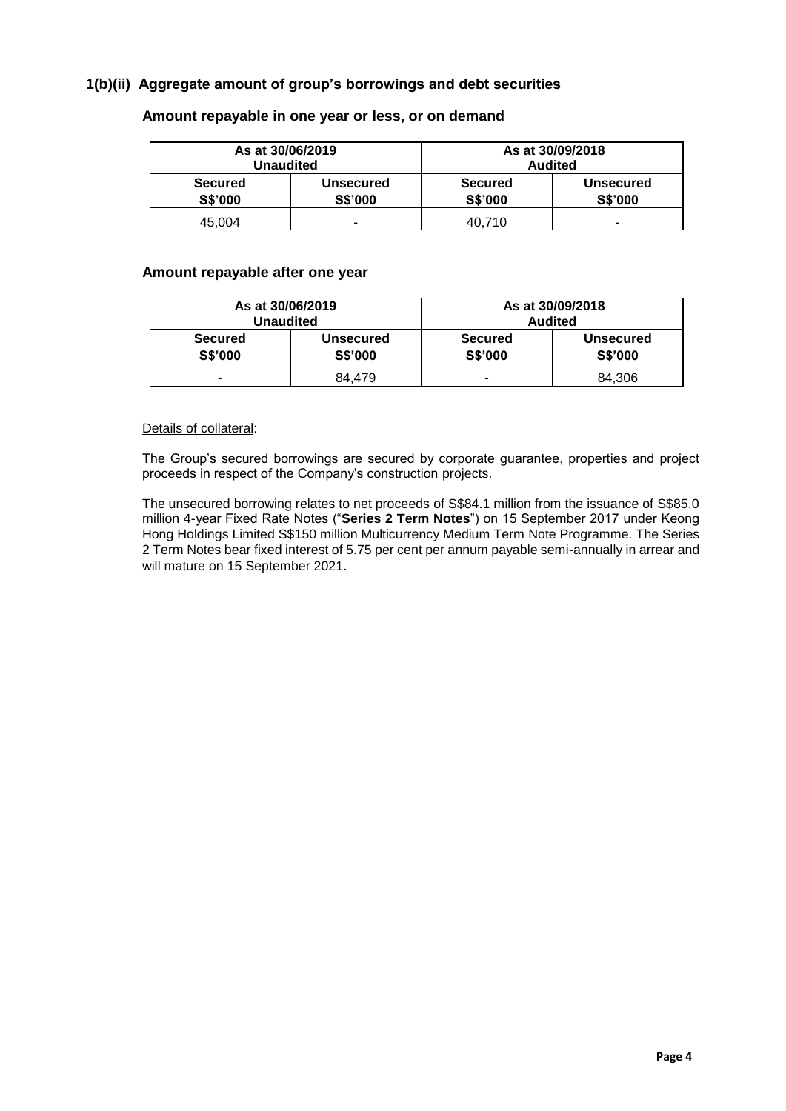# **1(b)(ii) Aggregate amount of group's borrowings and debt securities**

| As at 30/06/2019<br>Unaudited    |                                    | As at 30/09/2018<br><b>Audited</b> |                                    |  |  |  |
|----------------------------------|------------------------------------|------------------------------------|------------------------------------|--|--|--|
| <b>Secured</b><br><b>S\$'000</b> | <b>Unsecured</b><br><b>S\$'000</b> | <b>Secured</b><br><b>S\$'000</b>   | <b>Unsecured</b><br><b>S\$'000</b> |  |  |  |
| 45.004                           | -                                  | 40.710                             |                                    |  |  |  |

#### **Amount repayable in one year or less, or on demand**

#### **Amount repayable after one year**

| As at 30/06/2019<br>Unaudited |                             | As at 30/09/2018<br><b>Audited</b> |                                    |  |  |  |
|-------------------------------|-----------------------------|------------------------------------|------------------------------------|--|--|--|
| Secured<br><b>S\$'000</b>     | Unsecured<br><b>S\$'000</b> | <b>Secured</b><br><b>S\$'000</b>   | <b>Unsecured</b><br><b>S\$'000</b> |  |  |  |
|                               | 84.479                      |                                    | 84.306                             |  |  |  |

#### Details of collateral:

The Group's secured borrowings are secured by corporate guarantee, properties and project proceeds in respect of the Company's construction projects.

The unsecured borrowing relates to net proceeds of S\$84.1 million from the issuance of S\$85.0 million 4-year Fixed Rate Notes ("**Series 2 Term Notes**") on 15 September 2017 under Keong Hong Holdings Limited S\$150 million Multicurrency Medium Term Note Programme. The Series 2 Term Notes bear fixed interest of 5.75 per cent per annum payable semi-annually in arrear and will mature on 15 September 2021.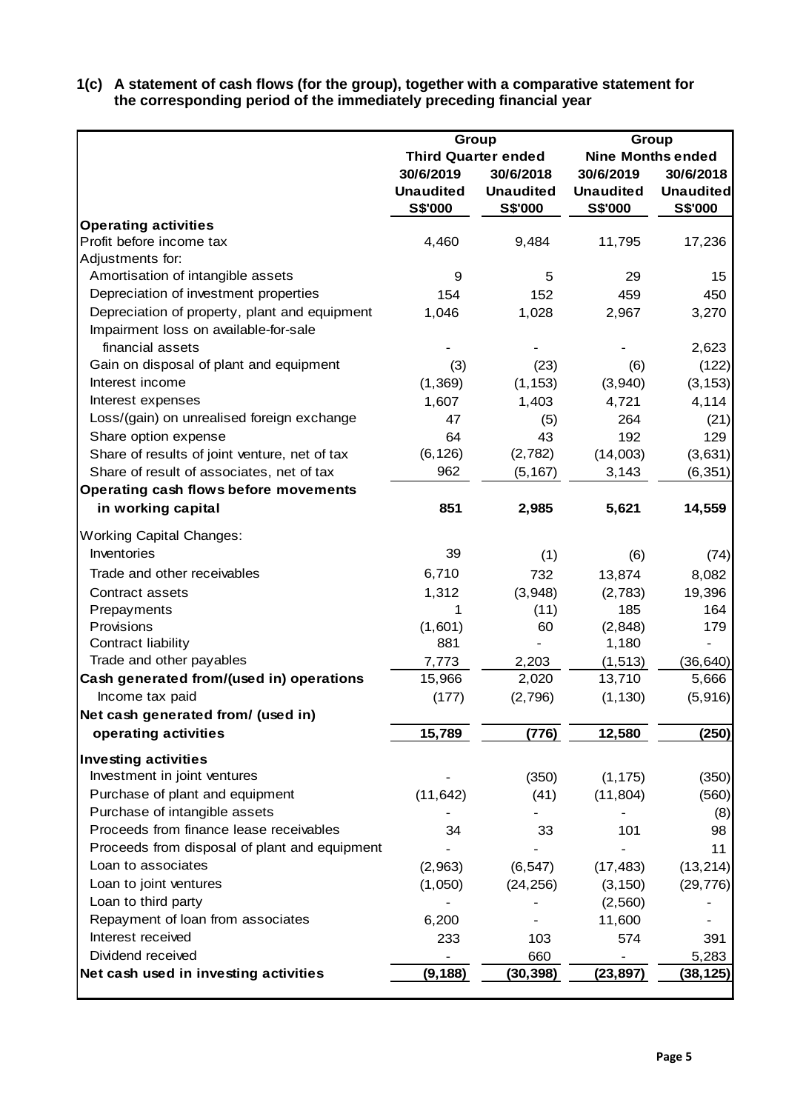**1(c) A statement of cash flows (for the group), together with a comparative statement for the corresponding period of the immediately preceding financial year**

|                                               |                  | Group                      | Group                    |                  |  |  |
|-----------------------------------------------|------------------|----------------------------|--------------------------|------------------|--|--|
|                                               |                  | <b>Third Quarter ended</b> | <b>Nine Months ended</b> |                  |  |  |
|                                               | 30/6/2019        | 30/6/2018                  | 30/6/2019                | 30/6/2018        |  |  |
|                                               | <b>Unaudited</b> | <b>Unaudited</b>           | <b>Unaudited</b>         | <b>Unaudited</b> |  |  |
|                                               | <b>S\$'000</b>   | <b>S\$'000</b>             | <b>S\$'000</b>           | <b>S\$'000</b>   |  |  |
| <b>Operating activities</b>                   |                  |                            |                          |                  |  |  |
| Profit before income tax                      | 4,460            | 9,484                      | 11,795                   | 17,236           |  |  |
| Adjustments for:                              |                  |                            |                          |                  |  |  |
| Amortisation of intangible assets             | 9                | 5                          | 29                       | 15               |  |  |
| Depreciation of investment properties         | 154              | 152                        | 459                      | 450              |  |  |
| Depreciation of property, plant and equipment | 1,046            | 1,028                      | 2,967                    | 3,270            |  |  |
| Impairment loss on available-for-sale         |                  |                            |                          |                  |  |  |
| financial assets                              |                  |                            |                          | 2,623            |  |  |
| Gain on disposal of plant and equipment       | (3)              | (23)                       | (6)                      | (122)            |  |  |
| Interest income                               | (1, 369)         | (1, 153)                   | (3,940)                  | (3, 153)         |  |  |
| Interest expenses                             | 1,607            | 1,403                      | 4,721                    | 4,114            |  |  |
| Loss/(gain) on unrealised foreign exchange    | 47               | (5)                        | 264                      | (21)             |  |  |
| Share option expense                          | 64               | 43                         | 192                      | 129              |  |  |
| Share of results of joint venture, net of tax | (6, 126)         | (2,782)                    | (14,003)                 | (3,631)          |  |  |
| Share of result of associates, net of tax     | 962              | (5, 167)                   | 3,143                    | (6, 351)         |  |  |
| Operating cash flows before movements         |                  |                            |                          |                  |  |  |
| in working capital                            | 851              | 2,985                      | 5,621                    | 14,559           |  |  |
| <b>Working Capital Changes:</b>               |                  |                            |                          |                  |  |  |
| Inventories                                   | 39               | (1)                        | (6)                      | (74)             |  |  |
| Trade and other receivables                   | 6,710            | 732                        | 13,874                   | 8,082            |  |  |
| Contract assets                               | 1,312            | (3,948)                    | (2,783)                  | 19,396           |  |  |
| Prepayments                                   | 1                | (11)                       | 185                      | 164              |  |  |
| Provisions                                    | (1,601)          | 60                         | (2,848)                  | 179              |  |  |
| Contract liability                            | 881              |                            | 1,180                    |                  |  |  |
| Trade and other payables                      | 7,773            | 2,203                      | (1, 513)                 | (36, 640)        |  |  |
| Cash generated from/(used in) operations      | 15,966           | 2,020                      | 13,710                   | 5,666            |  |  |
| Income tax paid                               | (177)            | (2,796)                    | (1, 130)                 | (5,916)          |  |  |
| Net cash generated from/ (used in)            |                  |                            |                          |                  |  |  |
| operating activities                          | 15,789           | (776)                      | 12,580                   | (250)            |  |  |
| <b>Investing activities</b>                   |                  |                            |                          |                  |  |  |
| Investment in joint ventures                  |                  | (350)                      | (1, 175)                 | (350)            |  |  |
| Purchase of plant and equipment               | (11, 642)        | (41)                       | (11, 804)                | (560)            |  |  |
| Purchase of intangible assets                 |                  |                            |                          | (8)              |  |  |
| Proceeds from finance lease receivables       | 34               | 33                         | 101                      | 98               |  |  |
| Proceeds from disposal of plant and equipment |                  |                            |                          | 11               |  |  |
| Loan to associates                            | (2,963)          | (6, 547)                   | (17, 483)                | (13, 214)        |  |  |
| Loan to joint ventures                        | (1,050)          | (24, 256)                  | (3, 150)                 | (29, 776)        |  |  |
| Loan to third party                           |                  |                            | (2,560)                  |                  |  |  |
| Repayment of loan from associates             | 6,200            |                            | 11,600                   |                  |  |  |
| Interest received                             | 233              | 103                        | 574                      | 391              |  |  |
| Dividend received                             |                  | 660                        |                          | 5,283            |  |  |
| Net cash used in investing activities         | (9, 188)         | (30, 398)                  | (23, 897)                | (38,125)         |  |  |
|                                               |                  |                            |                          |                  |  |  |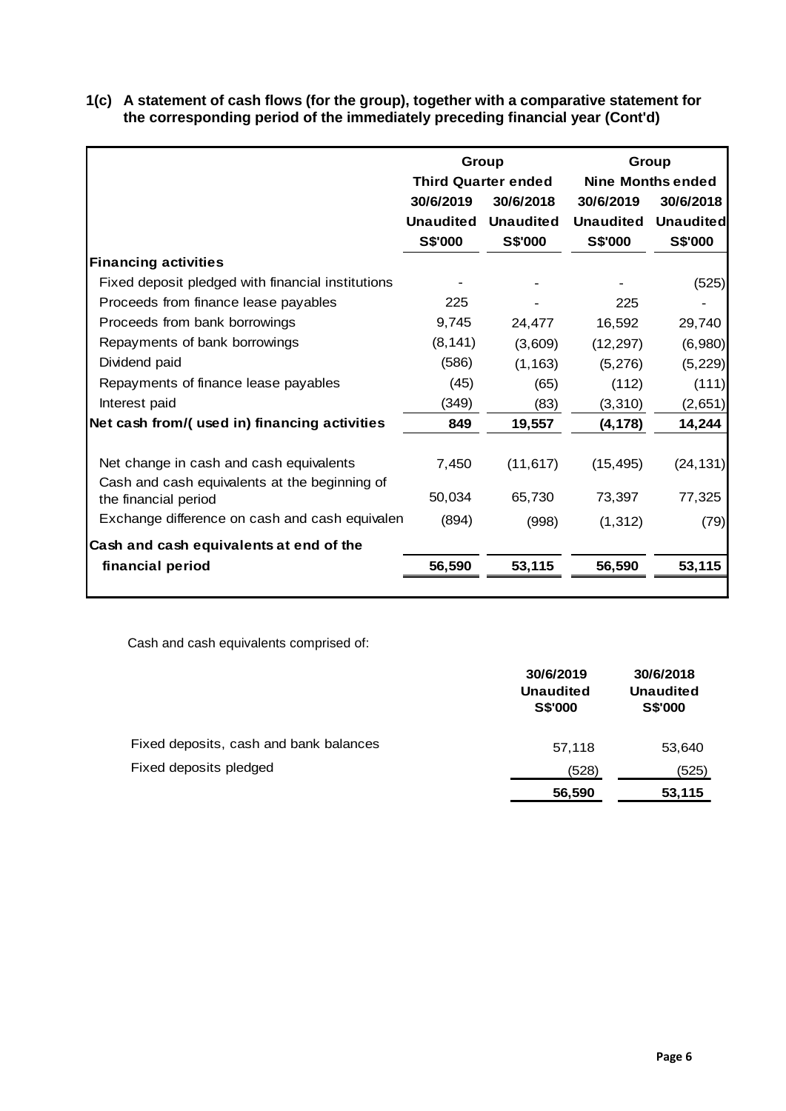| 1(c) A statement of cash flows (for the group), together with a comparative statement for |
|-------------------------------------------------------------------------------------------|
| the corresponding period of the immediately preceding financial year (Cont'd)             |

|                                                   |                  | Group                      |                  | Group                    |
|---------------------------------------------------|------------------|----------------------------|------------------|--------------------------|
|                                                   |                  | <b>Third Quarter ended</b> |                  | <b>Nine Months ended</b> |
|                                                   | 30/6/2019        | 30/6/2018                  | 30/6/2019        | 30/6/2018                |
|                                                   | <b>Unaudited</b> | <b>Unaudited</b>           | <b>Unaudited</b> | <b>Unaudited</b>         |
|                                                   | <b>S\$'000</b>   | <b>S\$'000</b>             | S\$'000          | <b>S\$'000</b>           |
| <b>Financing activities</b>                       |                  |                            |                  |                          |
| Fixed deposit pledged with financial institutions |                  |                            |                  | (525)                    |
| Proceeds from finance lease payables              | 225              |                            | 225              |                          |
| Proceeds from bank borrowings                     | 9,745            | 24,477                     | 16,592           | 29,740                   |
| Repayments of bank borrowings                     | (8, 141)         | (3,609)                    | (12, 297)        | (6,980)                  |
| Dividend paid                                     | (586)            | (1, 163)                   | (5, 276)         | (5, 229)                 |
| Repayments of finance lease payables              | (45)             | (65)                       | (112)            | (111)                    |
| Interest paid                                     | (349)            | (83)                       | (3, 310)         | (2,651)                  |
| Net cash from/(used in) financing activities      | 849              | 19,557                     | (4, 178)         | 14,244                   |
|                                                   |                  |                            |                  |                          |
| Net change in cash and cash equivalents           | 7,450            | (11, 617)                  | (15, 495)        | (24, 131)                |
| Cash and cash equivalents at the beginning of     |                  |                            |                  |                          |
| the financial period                              | 50,034           | 65,730                     | 73,397           | 77,325                   |
| Exchange difference on cash and cash equivalen    | (894)            | (998)                      | (1, 312)         | (79)                     |
| Cash and cash equivalents at end of the           |                  |                            |                  |                          |
| financial period                                  | 56,590           | 53,115                     | 56,590           | 53,115                   |
|                                                   |                  |                            |                  |                          |

Cash and cash equivalents comprised of:

|                                        | 30/6/2019<br><b>Unaudited</b><br><b>S\$'000</b> | 30/6/2018<br>Unaudited<br><b>S\$'000</b> |
|----------------------------------------|-------------------------------------------------|------------------------------------------|
| Fixed deposits, cash and bank balances | 57,118                                          | 53,640                                   |
| Fixed deposits pledged                 | (528)                                           | (525)                                    |
|                                        | 56,590                                          | 53,115                                   |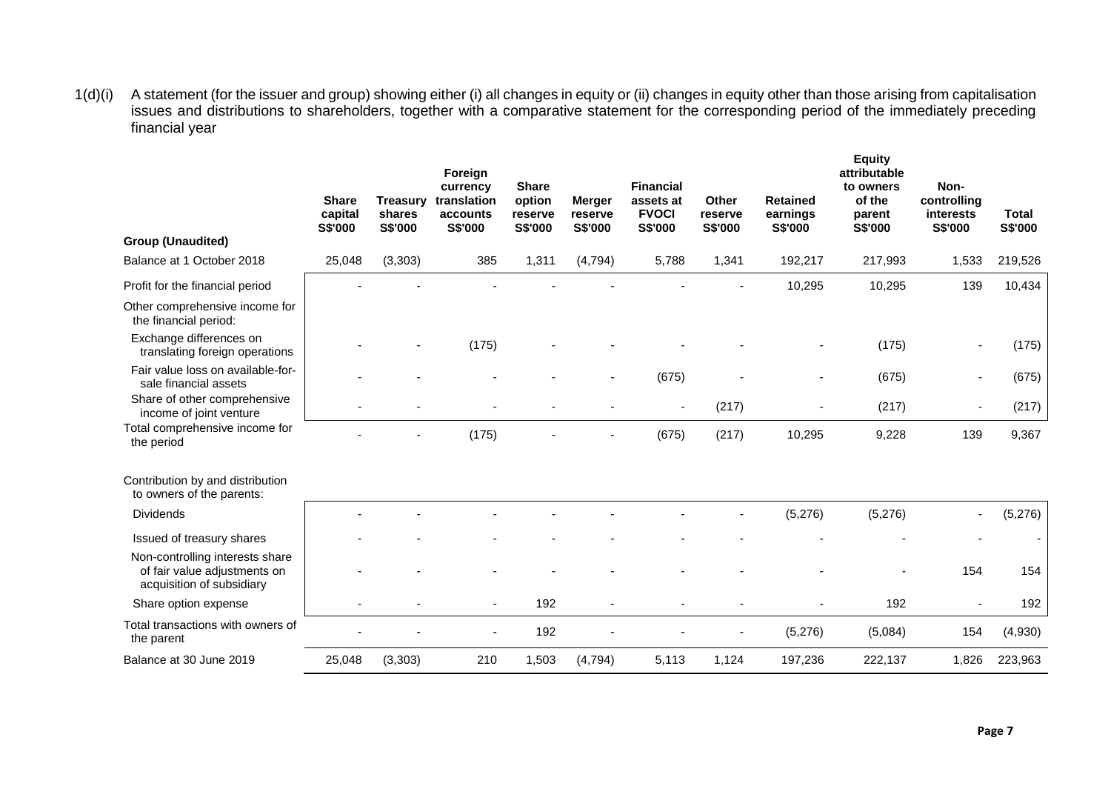1(d)(i) A statement (for the issuer and group) showing either (i) all changes in equity or (ii) changes in equity other than those arising from capitalisation issues and distributions to shareholders, together with a comparative statement for the corresponding period of the immediately preceding financial year

|                                                                                              | <b>Share</b><br>capital<br>S\$'000 | <b>Treasury</b><br>shares<br>S\$'000 | Foreign<br>currency<br>translation<br>accounts<br>S\$'000 | <b>Share</b><br>option<br>reserve<br>S\$'000 | <b>Merger</b><br>reserve<br>S\$'000 | <b>Financial</b><br>assets at<br><b>FVOCI</b><br>S\$'000 | <b>Other</b><br>reserve<br>S\$'000 | <b>Retained</b><br>earnings<br>S\$'000 | <b>Equity</b><br>attributable<br>to owners<br>of the<br>parent<br>S\$'000 | Non-<br>controlling<br>interests<br>S\$'000 | <b>Total</b><br>S\$'000 |
|----------------------------------------------------------------------------------------------|------------------------------------|--------------------------------------|-----------------------------------------------------------|----------------------------------------------|-------------------------------------|----------------------------------------------------------|------------------------------------|----------------------------------------|---------------------------------------------------------------------------|---------------------------------------------|-------------------------|
| <b>Group (Unaudited)</b>                                                                     |                                    |                                      |                                                           |                                              |                                     |                                                          |                                    |                                        |                                                                           |                                             |                         |
| Balance at 1 October 2018                                                                    | 25,048                             | (3, 303)                             | 385                                                       | 1,311                                        | (4, 794)                            | 5,788                                                    | 1,341                              | 192,217                                | 217,993                                                                   | 1,533                                       | 219,526                 |
| Profit for the financial period                                                              |                                    |                                      |                                                           |                                              |                                     |                                                          |                                    | 10,295                                 | 10,295                                                                    | 139                                         | 10,434                  |
| Other comprehensive income for<br>the financial period:                                      |                                    |                                      |                                                           |                                              |                                     |                                                          |                                    |                                        |                                                                           |                                             |                         |
| Exchange differences on<br>translating foreign operations                                    |                                    |                                      | (175)                                                     |                                              |                                     |                                                          |                                    |                                        | (175)                                                                     |                                             | (175)                   |
| Fair value loss on available-for-<br>sale financial assets                                   |                                    |                                      |                                                           |                                              |                                     | (675)                                                    |                                    |                                        | (675)                                                                     |                                             | (675)                   |
| Share of other comprehensive<br>income of joint venture                                      |                                    |                                      |                                                           |                                              |                                     | $\overline{a}$                                           | (217)                              |                                        | (217)                                                                     |                                             | (217)                   |
| Total comprehensive income for<br>the period                                                 |                                    |                                      | (175)                                                     |                                              |                                     | (675)                                                    | (217)                              | 10,295                                 | 9,228                                                                     | 139                                         | 9,367                   |
| Contribution by and distribution<br>to owners of the parents:                                |                                    |                                      |                                                           |                                              |                                     |                                                          |                                    |                                        |                                                                           |                                             |                         |
| <b>Dividends</b>                                                                             |                                    |                                      |                                                           |                                              |                                     |                                                          | -                                  | (5,276)                                | (5,276)                                                                   |                                             | (5,276)                 |
| Issued of treasury shares                                                                    |                                    |                                      |                                                           |                                              |                                     |                                                          |                                    |                                        |                                                                           |                                             |                         |
| Non-controlling interests share<br>of fair value adjustments on<br>acquisition of subsidiary |                                    |                                      |                                                           |                                              |                                     |                                                          |                                    |                                        |                                                                           | 154                                         | 154                     |
| Share option expense                                                                         |                                    |                                      | $\blacksquare$                                            | 192                                          |                                     |                                                          |                                    |                                        | 192                                                                       |                                             | 192                     |
| Total transactions with owners of<br>the parent                                              |                                    |                                      |                                                           | 192                                          |                                     |                                                          |                                    | (5,276)                                | (5,084)                                                                   | 154                                         | (4,930)                 |
| Balance at 30 June 2019                                                                      | 25,048                             | (3, 303)                             | 210                                                       | 1,503                                        | (4, 794)                            | 5,113                                                    | 1,124                              | 197,236                                | 222,137                                                                   | 1,826                                       | 223,963                 |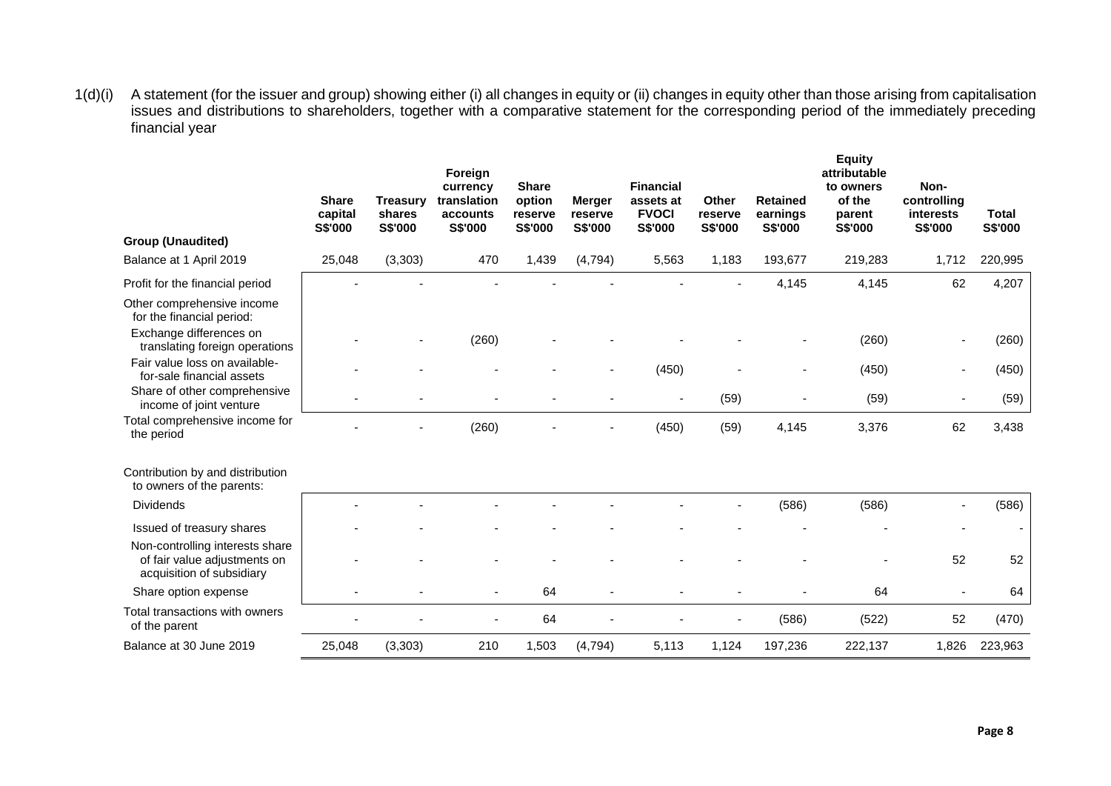1(d)(i) A statement (for the issuer and group) showing either (i) all changes in equity or (ii) changes in equity other than those arising from capitalisation issues and distributions to shareholders, together with a comparative statement for the corresponding period of the immediately preceding financial year

|                                                                                              | <b>Share</b><br>capital<br>S\$'000 | <b>Treasury</b><br>shares<br>S\$'000 | Foreign<br>currency<br>translation<br>accounts<br>S\$'000 | <b>Share</b><br>option<br>reserve<br>S\$'000 | <b>Merger</b><br>reserve<br>S\$'000 | <b>Financial</b><br>assets at<br><b>FVOCI</b><br>S\$'000 | <b>Other</b><br>reserve<br>S\$'000 | <b>Retained</b><br>earnings<br><b>S\$'000</b> | <b>Equity</b><br>attributable<br>to owners<br>of the<br>parent<br>S\$'000 | Non-<br>controlling<br>interests<br>S\$'000 | <b>Total</b><br>S\$'000  |
|----------------------------------------------------------------------------------------------|------------------------------------|--------------------------------------|-----------------------------------------------------------|----------------------------------------------|-------------------------------------|----------------------------------------------------------|------------------------------------|-----------------------------------------------|---------------------------------------------------------------------------|---------------------------------------------|--------------------------|
| <b>Group (Unaudited)</b>                                                                     |                                    |                                      |                                                           |                                              |                                     |                                                          |                                    |                                               |                                                                           |                                             |                          |
| Balance at 1 April 2019                                                                      | 25,048                             | (3, 303)                             | 470                                                       | 1,439                                        | (4, 794)                            | 5,563                                                    | 1,183                              | 193,677                                       | 219,283                                                                   | 1,712                                       | 220,995                  |
| Profit for the financial period                                                              |                                    |                                      |                                                           |                                              |                                     |                                                          |                                    | 4,145                                         | 4,145                                                                     | 62                                          | 4,207                    |
| Other comprehensive income<br>for the financial period:                                      |                                    |                                      |                                                           |                                              |                                     |                                                          |                                    |                                               |                                                                           |                                             |                          |
| Exchange differences on<br>translating foreign operations                                    |                                    |                                      | (260)                                                     |                                              |                                     |                                                          |                                    |                                               | (260)                                                                     |                                             | (260)                    |
| Fair value loss on available-<br>for-sale financial assets                                   |                                    |                                      |                                                           |                                              |                                     | (450)                                                    |                                    |                                               | (450)                                                                     |                                             | (450)                    |
| Share of other comprehensive<br>income of joint venture                                      |                                    |                                      |                                                           |                                              |                                     | $\blacksquare$                                           | (59)                               |                                               | (59)                                                                      |                                             | (59)                     |
| Total comprehensive income for<br>the period                                                 |                                    |                                      | (260)                                                     |                                              |                                     | (450)                                                    | (59)                               | 4,145                                         | 3,376                                                                     | 62                                          | 3,438                    |
| Contribution by and distribution<br>to owners of the parents:                                |                                    |                                      |                                                           |                                              |                                     |                                                          |                                    |                                               |                                                                           |                                             |                          |
| <b>Dividends</b>                                                                             |                                    |                                      |                                                           |                                              |                                     |                                                          |                                    | (586)                                         | (586)                                                                     |                                             | (586)                    |
| Issued of treasury shares                                                                    |                                    |                                      |                                                           |                                              |                                     |                                                          |                                    |                                               |                                                                           |                                             | $\overline{\phantom{a}}$ |
| Non-controlling interests share<br>of fair value adjustments on<br>acquisition of subsidiary |                                    |                                      |                                                           |                                              |                                     |                                                          |                                    |                                               |                                                                           | 52                                          | 52                       |
| Share option expense                                                                         |                                    |                                      |                                                           | 64                                           |                                     |                                                          |                                    |                                               | 64                                                                        |                                             | 64                       |
| Total transactions with owners<br>of the parent                                              |                                    |                                      |                                                           | 64                                           |                                     |                                                          |                                    | (586)                                         | (522)                                                                     | 52                                          | (470)                    |
| Balance at 30 June 2019                                                                      | 25,048                             | (3, 303)                             | 210                                                       | 1,503                                        | (4, 794)                            | 5,113                                                    | 1,124                              | 197,236                                       | 222,137                                                                   | 1,826                                       | 223,963                  |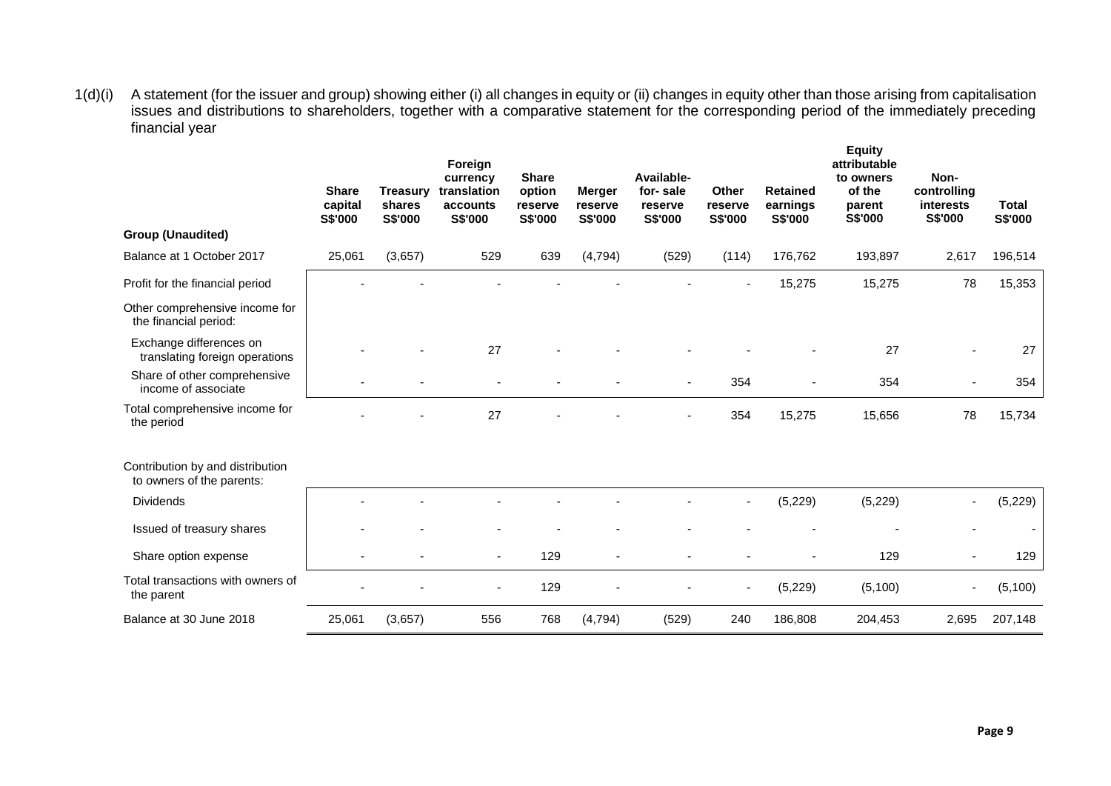1(d)(i) A statement (for the issuer and group) showing either (i) all changes in equity or (ii) changes in equity other than those arising from capitalisation issues and distributions to shareholders, together with a comparative statement for the corresponding period of the immediately preceding financial year

|                                                               | <b>Share</b><br>capital<br>S\$'000 | <b>Treasury</b><br>shares<br><b>S\$'000</b> | Foreign<br>currency<br>translation<br>accounts<br>S\$'000 | <b>Share</b><br>option<br>reserve<br>S\$'000 | <b>Merger</b><br>reserve<br>S\$'000 | Available-<br>for-sale<br>reserve<br><b>S\$'000</b> | Other<br>reserve<br>S\$'000 | <b>Retained</b><br>earnings<br>S\$'000 | <b>Equity</b><br>attributable<br>to owners<br>of the<br>parent<br>S\$'000 | Non-<br>controlling<br>interests<br>S\$'000 | <b>Total</b><br>S\$'000 |
|---------------------------------------------------------------|------------------------------------|---------------------------------------------|-----------------------------------------------------------|----------------------------------------------|-------------------------------------|-----------------------------------------------------|-----------------------------|----------------------------------------|---------------------------------------------------------------------------|---------------------------------------------|-------------------------|
| <b>Group (Unaudited)</b>                                      |                                    |                                             |                                                           |                                              |                                     |                                                     |                             |                                        |                                                                           |                                             |                         |
| Balance at 1 October 2017                                     | 25,061                             | (3,657)                                     | 529                                                       | 639                                          | (4, 794)                            | (529)                                               | (114)                       | 176,762                                | 193,897                                                                   | 2,617                                       | 196,514                 |
| Profit for the financial period                               |                                    |                                             |                                                           |                                              |                                     |                                                     |                             | 15,275                                 | 15,275                                                                    | 78                                          | 15,353                  |
| Other comprehensive income for<br>the financial period:       |                                    |                                             |                                                           |                                              |                                     |                                                     |                             |                                        |                                                                           |                                             |                         |
| Exchange differences on<br>translating foreign operations     |                                    |                                             | 27                                                        |                                              |                                     |                                                     |                             |                                        | 27                                                                        |                                             | 27                      |
| Share of other comprehensive<br>income of associate           |                                    |                                             |                                                           |                                              |                                     |                                                     | 354                         |                                        | 354                                                                       |                                             | 354                     |
| Total comprehensive income for<br>the period                  |                                    |                                             | 27                                                        |                                              |                                     |                                                     | 354                         | 15,275                                 | 15,656                                                                    | 78                                          | 15,734                  |
| Contribution by and distribution<br>to owners of the parents: |                                    |                                             |                                                           |                                              |                                     |                                                     |                             |                                        |                                                                           |                                             |                         |
| <b>Dividends</b>                                              |                                    |                                             |                                                           |                                              |                                     |                                                     |                             | (5, 229)                               | (5, 229)                                                                  |                                             | (5,229)                 |
| Issued of treasury shares                                     |                                    |                                             |                                                           |                                              |                                     |                                                     |                             |                                        |                                                                           |                                             |                         |
| Share option expense                                          |                                    |                                             | $\blacksquare$                                            | 129                                          |                                     |                                                     |                             |                                        | 129                                                                       |                                             | 129                     |
| Total transactions with owners of<br>the parent               |                                    |                                             |                                                           | 129                                          |                                     |                                                     |                             | (5,229)                                | (5,100)                                                                   |                                             | (5, 100)                |
| Balance at 30 June 2018                                       | 25,061                             | (3,657)                                     | 556                                                       | 768                                          | (4, 794)                            | (529)                                               | 240                         | 186,808                                | 204,453                                                                   | 2,695                                       | 207,148                 |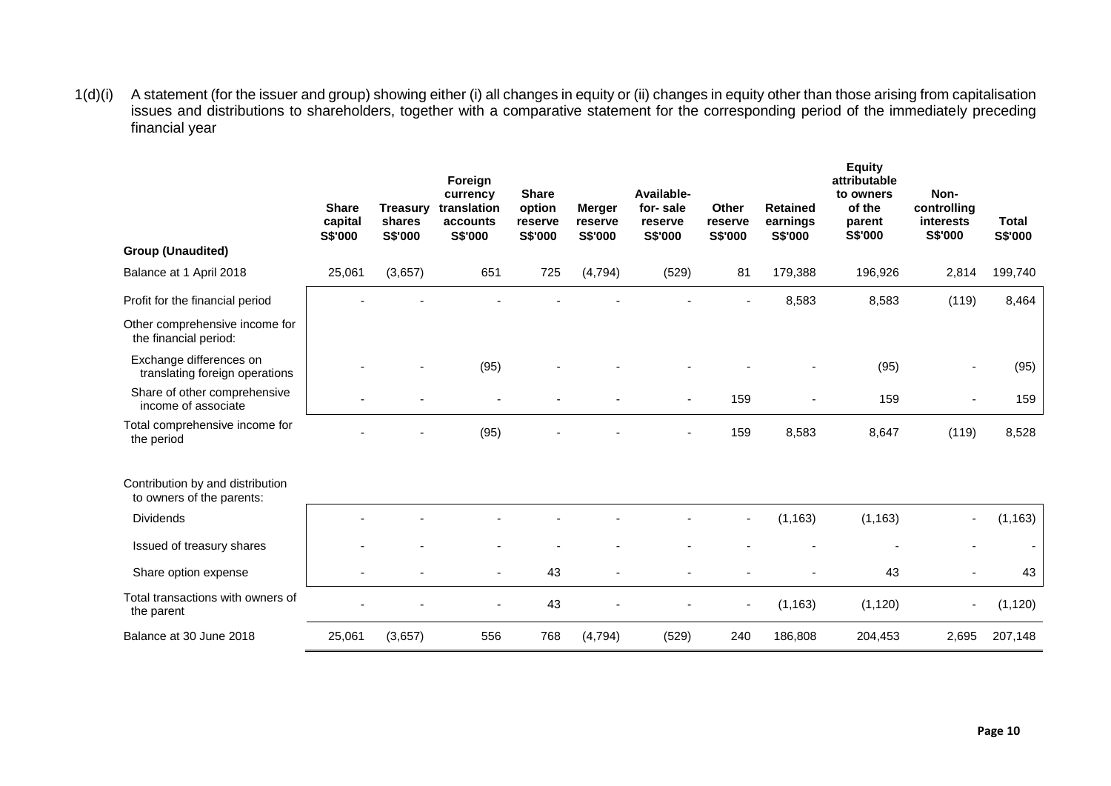1(d)(i) A statement (for the issuer and group) showing either (i) all changes in equity or (ii) changes in equity other than those arising from capitalisation issues and distributions to shareholders, together with a comparative statement for the corresponding period of the immediately preceding financial year

|                                                               | <b>Share</b><br>capital<br>S\$'000 | <b>Treasury</b><br>shares<br>S\$'000 | Foreign<br>currency<br>translation<br>accounts<br>S\$'000 | <b>Share</b><br>option<br>reserve<br>S\$'000 | <b>Merger</b><br>reserve<br>S\$'000 | Available-<br>for-sale<br>reserve<br>S\$'000 | Other<br>reserve<br>S\$'000 | <b>Retained</b><br>earnings<br>S\$'000 | <b>Equity</b><br>attributable<br>to owners<br>of the<br>parent<br>S\$'000 | Non-<br>controlling<br><b>interests</b><br>S\$'000 | <b>Total</b><br>S\$'000 |
|---------------------------------------------------------------|------------------------------------|--------------------------------------|-----------------------------------------------------------|----------------------------------------------|-------------------------------------|----------------------------------------------|-----------------------------|----------------------------------------|---------------------------------------------------------------------------|----------------------------------------------------|-------------------------|
| <b>Group (Unaudited)</b>                                      |                                    |                                      |                                                           |                                              |                                     |                                              |                             |                                        |                                                                           |                                                    |                         |
| Balance at 1 April 2018                                       | 25,061                             | (3,657)                              | 651                                                       | 725                                          | (4, 794)                            | (529)                                        | 81                          | 179,388                                | 196,926                                                                   | 2,814                                              | 199,740                 |
| Profit for the financial period                               |                                    |                                      |                                                           |                                              |                                     |                                              |                             | 8,583                                  | 8,583                                                                     | (119)                                              | 8,464                   |
| Other comprehensive income for<br>the financial period:       |                                    |                                      |                                                           |                                              |                                     |                                              |                             |                                        |                                                                           |                                                    |                         |
| Exchange differences on<br>translating foreign operations     |                                    |                                      | (95)                                                      |                                              |                                     |                                              |                             |                                        | (95)                                                                      |                                                    | (95)                    |
| Share of other comprehensive<br>income of associate           |                                    |                                      |                                                           |                                              |                                     |                                              | 159                         | ÷                                      | 159                                                                       |                                                    | 159                     |
| Total comprehensive income for<br>the period                  |                                    |                                      | (95)                                                      |                                              |                                     |                                              | 159                         | 8,583                                  | 8,647                                                                     | (119)                                              | 8,528                   |
| Contribution by and distribution<br>to owners of the parents: |                                    |                                      |                                                           |                                              |                                     |                                              |                             |                                        |                                                                           |                                                    |                         |
| <b>Dividends</b>                                              |                                    |                                      |                                                           |                                              |                                     |                                              |                             | (1, 163)                               | (1, 163)                                                                  |                                                    | (1, 163)                |
| Issued of treasury shares                                     |                                    |                                      |                                                           |                                              |                                     |                                              |                             |                                        |                                                                           |                                                    |                         |
| Share option expense                                          |                                    |                                      |                                                           | 43                                           |                                     |                                              |                             |                                        | 43                                                                        |                                                    | 43                      |
| Total transactions with owners of<br>the parent               |                                    |                                      |                                                           | 43                                           |                                     |                                              | $\blacksquare$              | (1, 163)                               | (1, 120)                                                                  |                                                    | (1, 120)                |
| Balance at 30 June 2018                                       | 25,061                             | (3,657)                              | 556                                                       | 768                                          | (4, 794)                            | (529)                                        | 240                         | 186,808                                | 204,453                                                                   | 2,695                                              | 207,148                 |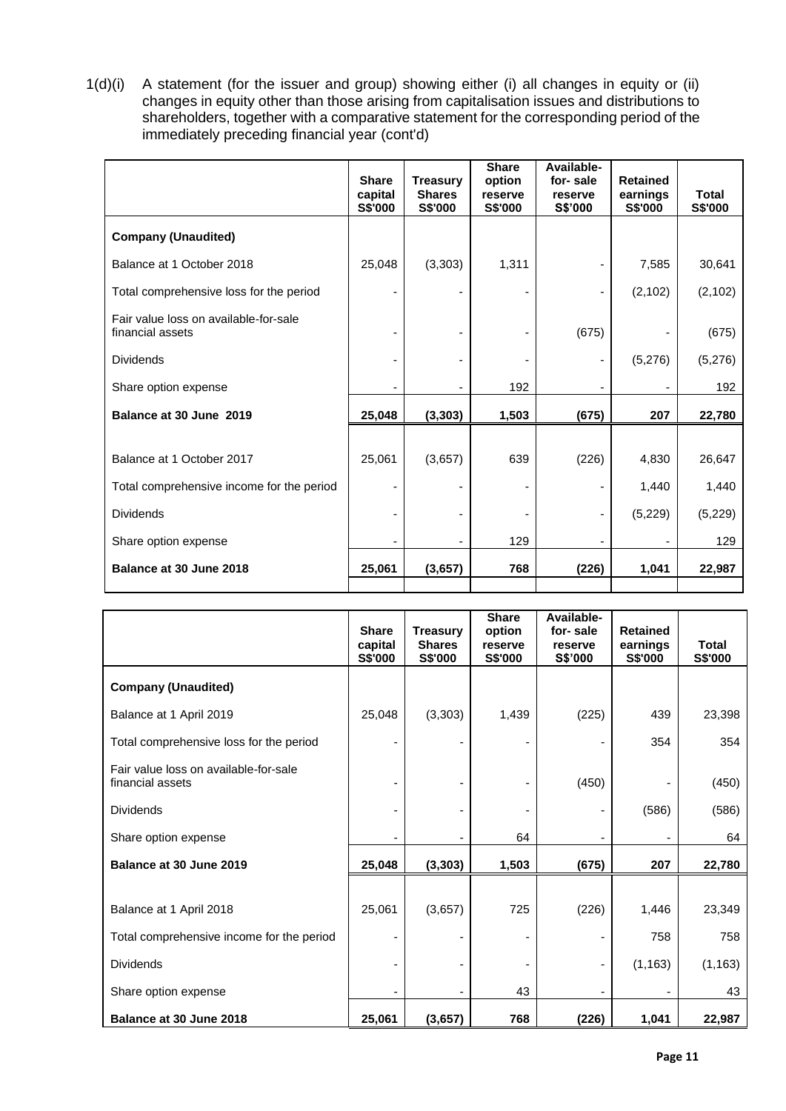1(d)(i) A statement (for the issuer and group) showing either (i) all changes in equity or (ii) changes in equity other than those arising from capitalisation issues and distributions to shareholders, together with a comparative statement for the corresponding period of the immediately preceding financial year (cont'd)

|                                                           | <b>Share</b><br>capital<br>S\$'000 | <b>Treasury</b><br><b>Shares</b><br>S\$'000 | <b>Share</b><br>option<br>reserve<br>S\$'000 | Available-<br>for-sale<br>reserve<br>S\$'000 | <b>Retained</b><br>earnings<br>S\$'000 | <b>Total</b><br>S\$'000 |
|-----------------------------------------------------------|------------------------------------|---------------------------------------------|----------------------------------------------|----------------------------------------------|----------------------------------------|-------------------------|
| <b>Company (Unaudited)</b>                                |                                    |                                             |                                              |                                              |                                        |                         |
| Balance at 1 October 2018                                 | 25,048                             | (3, 303)                                    | 1,311                                        |                                              | 7,585                                  | 30,641                  |
| Total comprehensive loss for the period                   |                                    |                                             |                                              |                                              | (2, 102)                               | (2, 102)                |
| Fair value loss on available-for-sale<br>financial assets |                                    |                                             |                                              | (675)                                        |                                        | (675)                   |
| <b>Dividends</b>                                          |                                    |                                             |                                              |                                              | (5,276)                                | (5,276)                 |
| Share option expense                                      |                                    |                                             | 192                                          |                                              |                                        | 192                     |
| Balance at 30 June 2019                                   | 25,048                             | (3, 303)                                    | 1,503                                        | (675)                                        | 207                                    | 22,780                  |
|                                                           |                                    |                                             |                                              |                                              |                                        |                         |
| Balance at 1 October 2017                                 | 25,061                             | (3,657)                                     | 639                                          | (226)                                        | 4,830                                  | 26,647                  |
| Total comprehensive income for the period                 |                                    |                                             |                                              |                                              | 1,440                                  | 1,440                   |
| <b>Dividends</b>                                          |                                    |                                             |                                              |                                              | (5,229)                                | (5,229)                 |
| Share option expense                                      |                                    |                                             | 129                                          |                                              |                                        | 129                     |
| Balance at 30 June 2018                                   | 25,061                             | (3,657)                                     | 768                                          | (226)                                        | 1,041                                  | 22,987                  |

|                                                           | <b>Share</b><br>capital | <b>Treasury</b><br><b>Shares</b> | <b>Share</b><br>option<br>reserve | Available-<br>for-sale<br>reserve | <b>Retained</b><br>earnings | Total    |
|-----------------------------------------------------------|-------------------------|----------------------------------|-----------------------------------|-----------------------------------|-----------------------------|----------|
|                                                           | S\$'000                 | S\$'000                          | S\$'000                           | S\$'000                           | S\$'000                     | S\$'000  |
| <b>Company (Unaudited)</b>                                |                         |                                  |                                   |                                   |                             |          |
| Balance at 1 April 2019                                   | 25,048                  | (3, 303)                         | 1,439                             | (225)                             | 439                         | 23,398   |
| Total comprehensive loss for the period                   |                         |                                  |                                   |                                   | 354                         | 354      |
| Fair value loss on available-for-sale<br>financial assets |                         |                                  |                                   | (450)                             |                             | (450)    |
| <b>Dividends</b>                                          |                         |                                  |                                   |                                   | (586)                       | (586)    |
| Share option expense                                      |                         |                                  | 64                                |                                   |                             | 64       |
| Balance at 30 June 2019                                   | 25,048                  | (3, 303)                         | 1,503                             | (675)                             | 207                         | 22,780   |
|                                                           |                         |                                  |                                   |                                   |                             |          |
| Balance at 1 April 2018                                   | 25,061                  | (3,657)                          | 725                               | (226)                             | 1,446                       | 23,349   |
| Total comprehensive income for the period                 |                         |                                  |                                   |                                   | 758                         | 758      |
| <b>Dividends</b>                                          |                         |                                  |                                   |                                   | (1, 163)                    | (1, 163) |
| Share option expense                                      |                         |                                  | 43                                |                                   |                             | 43       |
| Balance at 30 June 2018                                   | 25,061                  | (3,657)                          | 768                               | (226)                             | 1,041                       | 22,987   |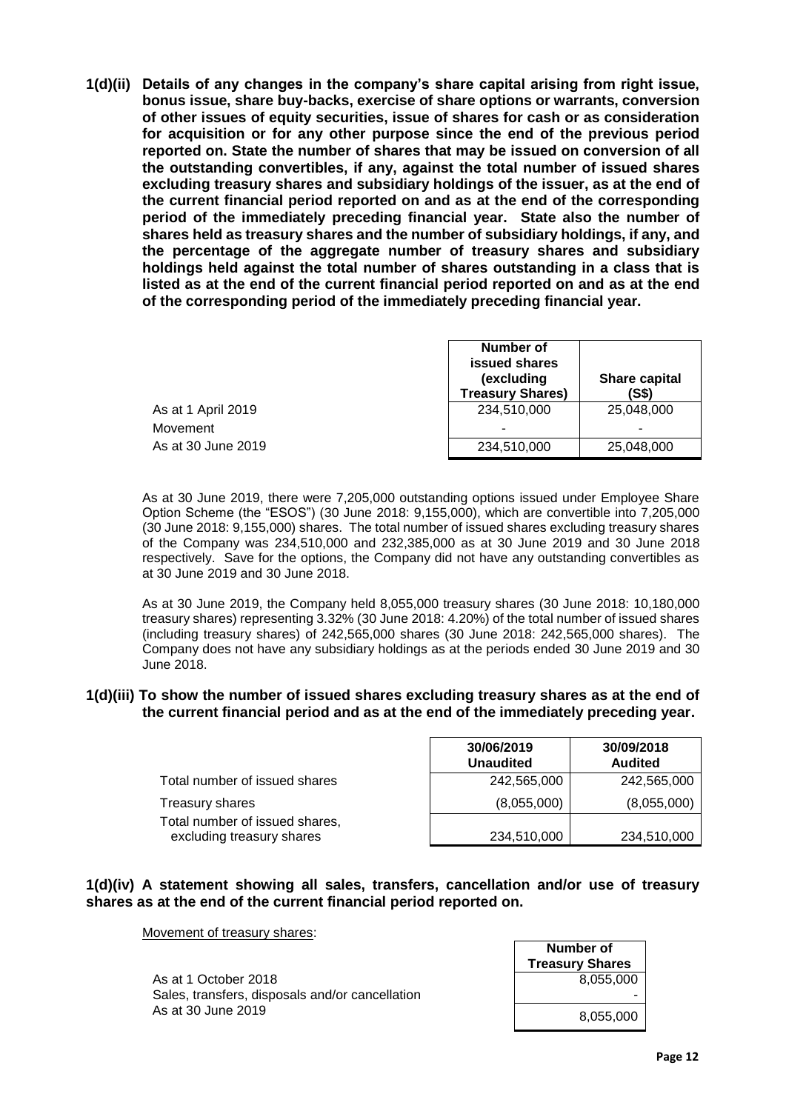**1(d)(ii) Details of any changes in the company's share capital arising from right issue, bonus issue, share buy-backs, exercise of share options or warrants, conversion of other issues of equity securities, issue of shares for cash or as consideration for acquisition or for any other purpose since the end of the previous period reported on. State the number of shares that may be issued on conversion of all the outstanding convertibles, if any, against the total number of issued shares excluding treasury shares and subsidiary holdings of the issuer, as at the end of the current financial period reported on and as at the end of the corresponding period of the immediately preceding financial year. State also the number of shares held as treasury shares and the number of subsidiary holdings, if any, and the percentage of the aggregate number of treasury shares and subsidiary holdings held against the total number of shares outstanding in a class that is listed as at the end of the current financial period reported on and as at the end of the corresponding period of the immediately preceding financial year.**

|                    | <b>Number of</b><br>issued shares<br>(excluding<br><b>Treasury Shares)</b> | <b>Share capital</b><br>(S\$) |  |
|--------------------|----------------------------------------------------------------------------|-------------------------------|--|
| As at 1 April 2019 | 234.510.000                                                                | 25,048,000                    |  |
| Movement           |                                                                            | ۰                             |  |
| As at 30 June 2019 | 234,510,000                                                                | 25,048,000                    |  |

As at 30 June 2019, there were 7,205,000 outstanding options issued under Employee Share Option Scheme (the "ESOS") (30 June 2018: 9,155,000), which are convertible into 7,205,000 (30 June 2018: 9,155,000) shares. The total number of issued shares excluding treasury shares of the Company was 234,510,000 and 232,385,000 as at 30 June 2019 and 30 June 2018 respectively. Save for the options, the Company did not have any outstanding convertibles as at 30 June 2019 and 30 June 2018.

As at 30 June 2019, the Company held 8,055,000 treasury shares (30 June 2018: 10,180,000 treasury shares) representing 3.32% (30 June 2018: 4.20%) of the total number of issued shares (including treasury shares) of 242,565,000 shares (30 June 2018: 242,565,000 shares). The Company does not have any subsidiary holdings as at the periods ended 30 June 2019 and 30 June 2018.

#### **1(d)(iii) To show the number of issued shares excluding treasury shares as at the end of the current financial period and as at the end of the immediately preceding year.**

|                                                             | 30/06/2019<br><b>Unaudited</b> | 30/09/2018<br><b>Audited</b> |
|-------------------------------------------------------------|--------------------------------|------------------------------|
| Total number of issued shares                               | 242,565,000                    | 242,565,000                  |
| Treasury shares                                             | (8,055,000)                    | (8,055,000)                  |
| Total number of issued shares,<br>excluding treasury shares | 234,510,000                    | 234,510,000                  |

## **1(d)(iv) A statement showing all sales, transfers, cancellation and/or use of treasury shares as at the end of the current financial period reported on.**

Movement of treasury shares:

As at 1 October 2018 Sales, transfers, disposals and/or cancellation As at 30 June 2019

| Number of<br><b>Treasury Shares</b> |  |  |  |  |
|-------------------------------------|--|--|--|--|
| 8,055,000                           |  |  |  |  |
|                                     |  |  |  |  |
| 8,055,000                           |  |  |  |  |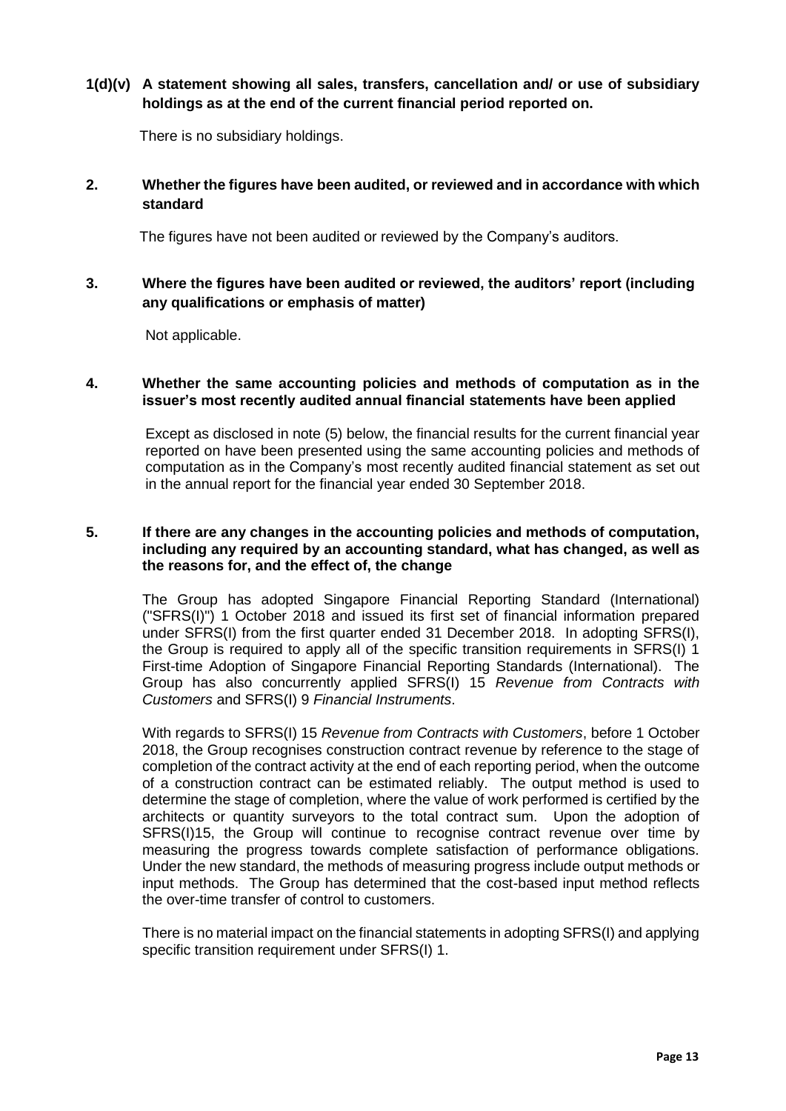# **1(d)(v) A statement showing all sales, transfers, cancellation and/ or use of subsidiary holdings as at the end of the current financial period reported on.**

There is no subsidiary holdings.

# **2. Whether the figures have been audited, or reviewed and in accordance with which standard**

The figures have not been audited or reviewed by the Company's auditors.

# **3. Where the figures have been audited or reviewed, the auditors' report (including any qualifications or emphasis of matter)**

Not applicable.

## **4. Whether the same accounting policies and methods of computation as in the issuer's most recently audited annual financial statements have been applied**

Except as disclosed in note (5) below, the financial results for the current financial year reported on have been presented using the same accounting policies and methods of computation as in the Company's most recently audited financial statement as set out in the annual report for the financial year ended 30 September 2018.

# **5. If there are any changes in the accounting policies and methods of computation, including any required by an accounting standard, what has changed, as well as the reasons for, and the effect of, the change**

The Group has adopted Singapore Financial Reporting Standard (International) ("SFRS(I)") 1 October 2018 and issued its first set of financial information prepared under SFRS(I) from the first quarter ended 31 December 2018. In adopting SFRS(I), the Group is required to apply all of the specific transition requirements in SFRS(I) 1 First-time Adoption of Singapore Financial Reporting Standards (International). The Group has also concurrently applied SFRS(I) 15 *Revenue from Contracts with Customers* and SFRS(I) 9 *Financial Instruments*.

With regards to SFRS(I) 15 *Revenue from Contracts with Customers*, before 1 October 2018, the Group recognises construction contract revenue by reference to the stage of completion of the contract activity at the end of each reporting period, when the outcome of a construction contract can be estimated reliably. The output method is used to determine the stage of completion, where the value of work performed is certified by the architects or quantity surveyors to the total contract sum. Upon the adoption of SFRS(I)15, the Group will continue to recognise contract revenue over time by measuring the progress towards complete satisfaction of performance obligations. Under the new standard, the methods of measuring progress include output methods or input methods. The Group has determined that the cost-based input method reflects the over-time transfer of control to customers.

There is no material impact on the financial statements in adopting SFRS(I) and applying specific transition requirement under SFRS(I) 1.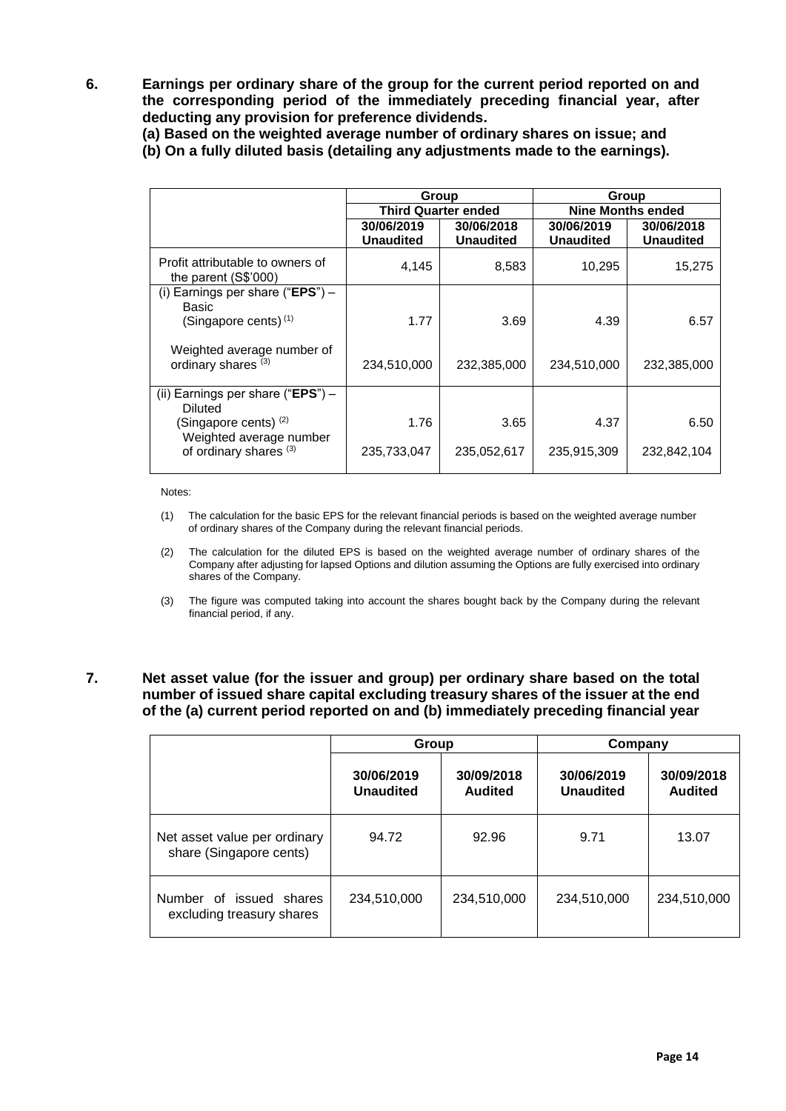**6. Earnings per ordinary share of the group for the current period reported on and the corresponding period of the immediately preceding financial year, after deducting any provision for preference dividends.**

**(a) Based on the weighted average number of ordinary shares on issue; and**

**(b) On a fully diluted basis (detailing any adjustments made to the earnings).**

|                                                              | Group                          |                                | Group                          |                                |  |  |
|--------------------------------------------------------------|--------------------------------|--------------------------------|--------------------------------|--------------------------------|--|--|
|                                                              | <b>Third Quarter ended</b>     |                                | <b>Nine Months ended</b>       |                                |  |  |
|                                                              | 30/06/2019<br><b>Unaudited</b> | 30/06/2018<br><b>Unaudited</b> | 30/06/2019<br><b>Unaudited</b> | 30/06/2018<br><b>Unaudited</b> |  |  |
| Profit attributable to owners of<br>the parent $(S$'000)$    | 4,145                          | 8,583                          | 10,295                         | 15,275                         |  |  |
| (i) Earnings per share ("EPS") $-$<br>Basic                  |                                |                                |                                |                                |  |  |
| (Singapore cents) <sup>(1)</sup>                             | 1.77                           | 3.69                           | 4.39                           | 6.57                           |  |  |
| Weighted average number of<br>ordinary shares <sup>(3)</sup> | 234,510,000                    | 232,385,000                    | 234,510,000                    | 232,385,000                    |  |  |
| (ii) Earnings per share ("EPS") $-$<br>Diluted               |                                |                                |                                |                                |  |  |
| (Singapore cents) <sup>(2)</sup><br>Weighted average number  | 1.76                           | 3.65                           | 4.37                           | 6.50                           |  |  |
| of ordinary shares <sup>(3)</sup>                            | 235,733,047                    | 235,052,617                    | 235,915,309                    | 232,842,104                    |  |  |

Notes:

- (1) The calculation for the basic EPS for the relevant financial periods is based on the weighted average number of ordinary shares of the Company during the relevant financial periods.
- (2) The calculation for the diluted EPS is based on the weighted average number of ordinary shares of the Company after adjusting for lapsed Options and dilution assuming the Options are fully exercised into ordinary shares of the Company.
- (3) The figure was computed taking into account the shares bought back by the Company during the relevant financial period, if any.

# **7. Net asset value (for the issuer and group) per ordinary share based on the total number of issued share capital excluding treasury shares of the issuer at the end of the (a) current period reported on and (b) immediately preceding financial year**

|                                                         | Group                   |                       | Company                        |                       |  |
|---------------------------------------------------------|-------------------------|-----------------------|--------------------------------|-----------------------|--|
|                                                         | 30/06/2019<br>Unaudited | 30/09/2018<br>Audited | 30/06/2019<br><b>Unaudited</b> | 30/09/2018<br>Audited |  |
| Net asset value per ordinary<br>share (Singapore cents) | 94.72                   | 92.96                 | 9.71                           | 13.07                 |  |
| Number of issued shares<br>excluding treasury shares    | 234,510,000             | 234,510,000           | 234,510,000                    | 234,510,000           |  |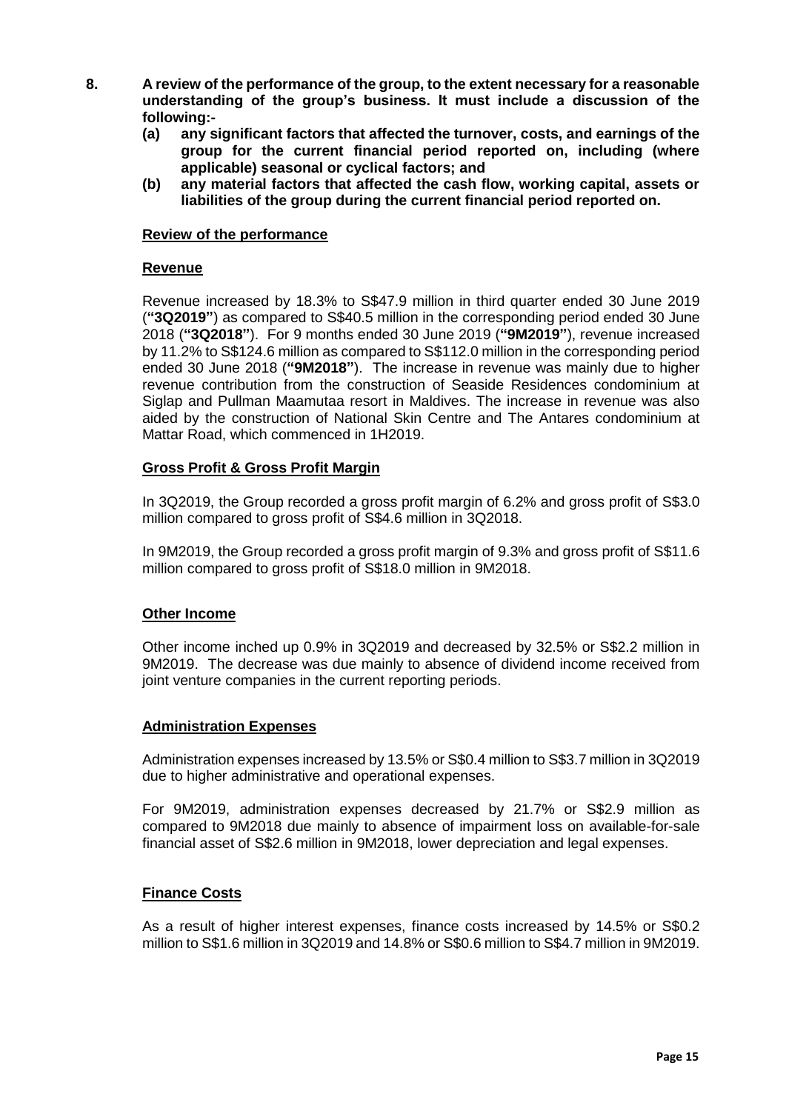- **8. A review of the performance of the group, to the extent necessary for a reasonable understanding of the group's business. It must include a discussion of the following:-**
	- **(a) any significant factors that affected the turnover, costs, and earnings of the group for the current financial period reported on, including (where applicable) seasonal or cyclical factors; and**
	- **(b) any material factors that affected the cash flow, working capital, assets or liabilities of the group during the current financial period reported on.**

## **Review of the performance**

## **Revenue**

Revenue increased by 18.3% to S\$47.9 million in third quarter ended 30 June 2019 (**"3Q2019"**) as compared to S\$40.5 million in the corresponding period ended 30 June 2018 (**"3Q2018"**). For 9 months ended 30 June 2019 (**"9M2019"**), revenue increased by 11.2% to S\$124.6 million as compared to S\$112.0 million in the corresponding period ended 30 June 2018 (**"9M2018"**). The increase in revenue was mainly due to higher revenue contribution from the construction of Seaside Residences condominium at Siglap and Pullman Maamutaa resort in Maldives. The increase in revenue was also aided by the construction of National Skin Centre and The Antares condominium at Mattar Road, which commenced in 1H2019.

# **Gross Profit & Gross Profit Margin**

In 3Q2019, the Group recorded a gross profit margin of 6.2% and gross profit of S\$3.0 million compared to gross profit of S\$4.6 million in 3Q2018.

In 9M2019, the Group recorded a gross profit margin of 9.3% and gross profit of S\$11.6 million compared to gross profit of S\$18.0 million in 9M2018.

# **Other Income**

Other income inched up 0.9% in 3Q2019 and decreased by 32.5% or S\$2.2 million in 9M2019. The decrease was due mainly to absence of dividend income received from joint venture companies in the current reporting periods.

# **Administration Expenses**

Administration expenses increased by 13.5% or S\$0.4 million to S\$3.7 million in 3Q2019 due to higher administrative and operational expenses.

For 9M2019, administration expenses decreased by 21.7% or S\$2.9 million as compared to 9M2018 due mainly to absence of impairment loss on available-for-sale financial asset of S\$2.6 million in 9M2018, lower depreciation and legal expenses.

#### **Finance Costs**

As a result of higher interest expenses, finance costs increased by 14.5% or S\$0.2 million to S\$1.6 million in 3Q2019 and 14.8% or S\$0.6 million to S\$4.7 million in 9M2019.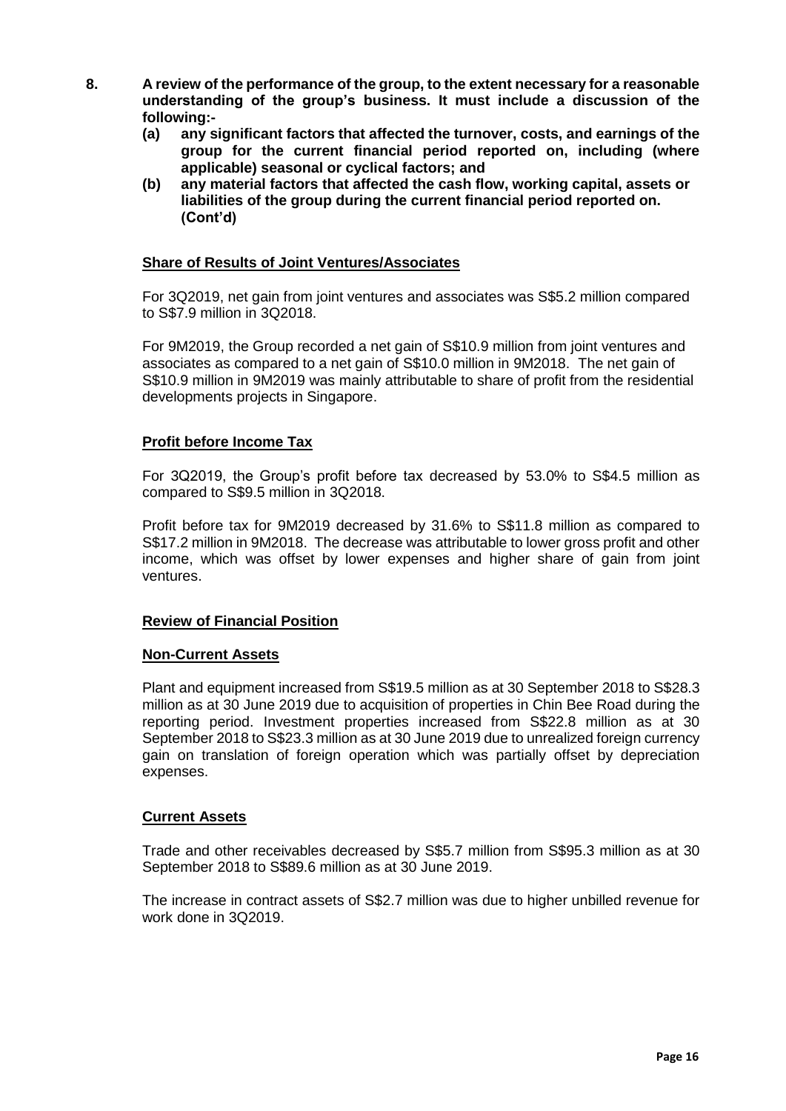- **8. A review of the performance of the group, to the extent necessary for a reasonable understanding of the group's business. It must include a discussion of the following:-**
	- **(a) any significant factors that affected the turnover, costs, and earnings of the group for the current financial period reported on, including (where applicable) seasonal or cyclical factors; and**
	- **(b) any material factors that affected the cash flow, working capital, assets or liabilities of the group during the current financial period reported on. (Cont'd)**

## **Share of Results of Joint Ventures/Associates**

For 3Q2019, net gain from joint ventures and associates was S\$5.2 million compared to S\$7.9 million in 3Q2018.

For 9M2019, the Group recorded a net gain of S\$10.9 million from joint ventures and associates as compared to a net gain of S\$10.0 million in 9M2018. The net gain of S\$10.9 million in 9M2019 was mainly attributable to share of profit from the residential developments projects in Singapore.

## **Profit before Income Tax**

For 3Q2019, the Group's profit before tax decreased by 53.0% to S\$4.5 million as compared to S\$9.5 million in 3Q2018.

Profit before tax for 9M2019 decreased by 31.6% to S\$11.8 million as compared to S\$17.2 million in 9M2018. The decrease was attributable to lower gross profit and other income, which was offset by lower expenses and higher share of gain from joint ventures.

#### **Review of Financial Position**

#### **Non-Current Assets**

Plant and equipment increased from S\$19.5 million as at 30 September 2018 to S\$28.3 million as at 30 June 2019 due to acquisition of properties in Chin Bee Road during the reporting period. Investment properties increased from S\$22.8 million as at 30 September 2018 to S\$23.3 million as at 30 June 2019 due to unrealized foreign currency gain on translation of foreign operation which was partially offset by depreciation expenses.

#### **Current Assets**

Trade and other receivables decreased by S\$5.7 million from S\$95.3 million as at 30 September 2018 to S\$89.6 million as at 30 June 2019.

The increase in contract assets of S\$2.7 million was due to higher unbilled revenue for work done in 3Q2019.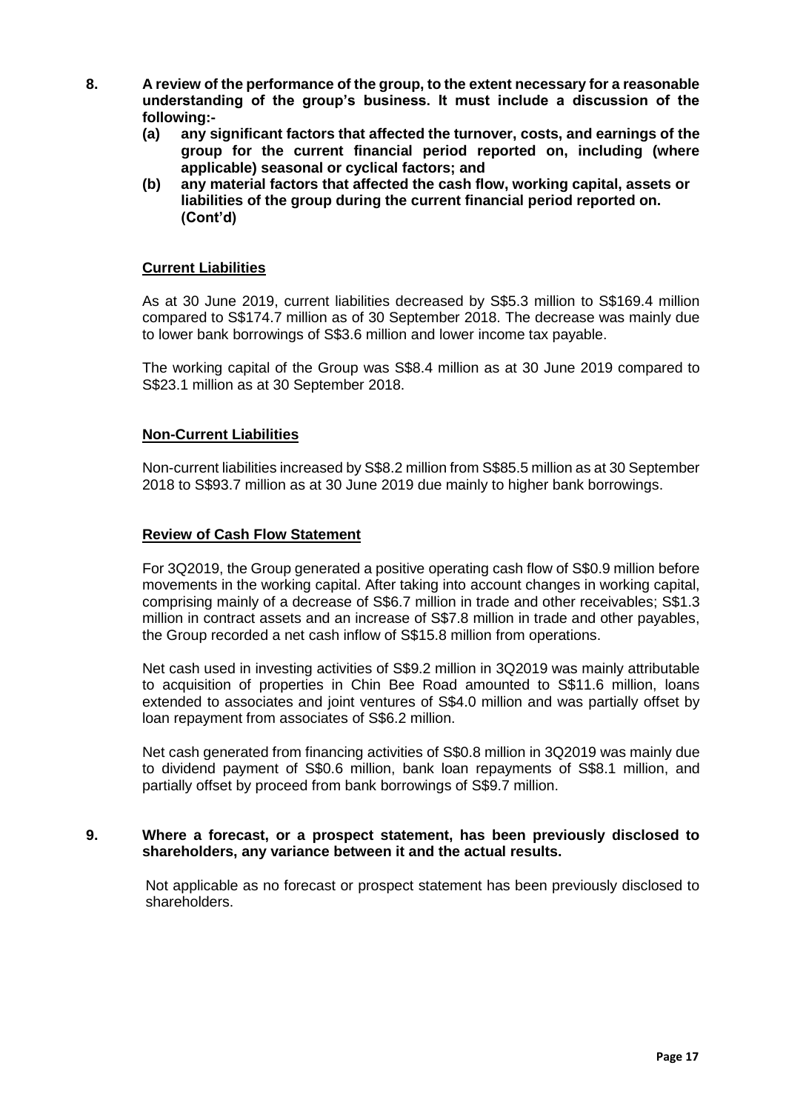- **8. A review of the performance of the group, to the extent necessary for a reasonable understanding of the group's business. It must include a discussion of the following:-**
	- **(a) any significant factors that affected the turnover, costs, and earnings of the group for the current financial period reported on, including (where applicable) seasonal or cyclical factors; and**
	- **(b) any material factors that affected the cash flow, working capital, assets or liabilities of the group during the current financial period reported on. (Cont'd)**

# **Current Liabilities**

As at 30 June 2019, current liabilities decreased by S\$5.3 million to S\$169.4 million compared to S\$174.7 million as of 30 September 2018. The decrease was mainly due to lower bank borrowings of S\$3.6 million and lower income tax payable.

The working capital of the Group was S\$8.4 million as at 30 June 2019 compared to S\$23.1 million as at 30 September 2018.

## **Non-Current Liabilities**

Non-current liabilities increased by S\$8.2 million from S\$85.5 million as at 30 September 2018 to S\$93.7 million as at 30 June 2019 due mainly to higher bank borrowings.

#### **Review of Cash Flow Statement**

For 3Q2019, the Group generated a positive operating cash flow of S\$0.9 million before movements in the working capital. After taking into account changes in working capital, comprising mainly of a decrease of S\$6.7 million in trade and other receivables; S\$1.3 million in contract assets and an increase of S\$7.8 million in trade and other payables, the Group recorded a net cash inflow of S\$15.8 million from operations.

Net cash used in investing activities of S\$9.2 million in 3Q2019 was mainly attributable to acquisition of properties in Chin Bee Road amounted to S\$11.6 million, loans extended to associates and joint ventures of S\$4.0 million and was partially offset by loan repayment from associates of S\$6.2 million.

Net cash generated from financing activities of S\$0.8 million in 3Q2019 was mainly due to dividend payment of S\$0.6 million, bank loan repayments of S\$8.1 million, and partially offset by proceed from bank borrowings of S\$9.7 million.

#### **9. Where a forecast, or a prospect statement, has been previously disclosed to shareholders, any variance between it and the actual results.**

Not applicable as no forecast or prospect statement has been previously disclosed to shareholders.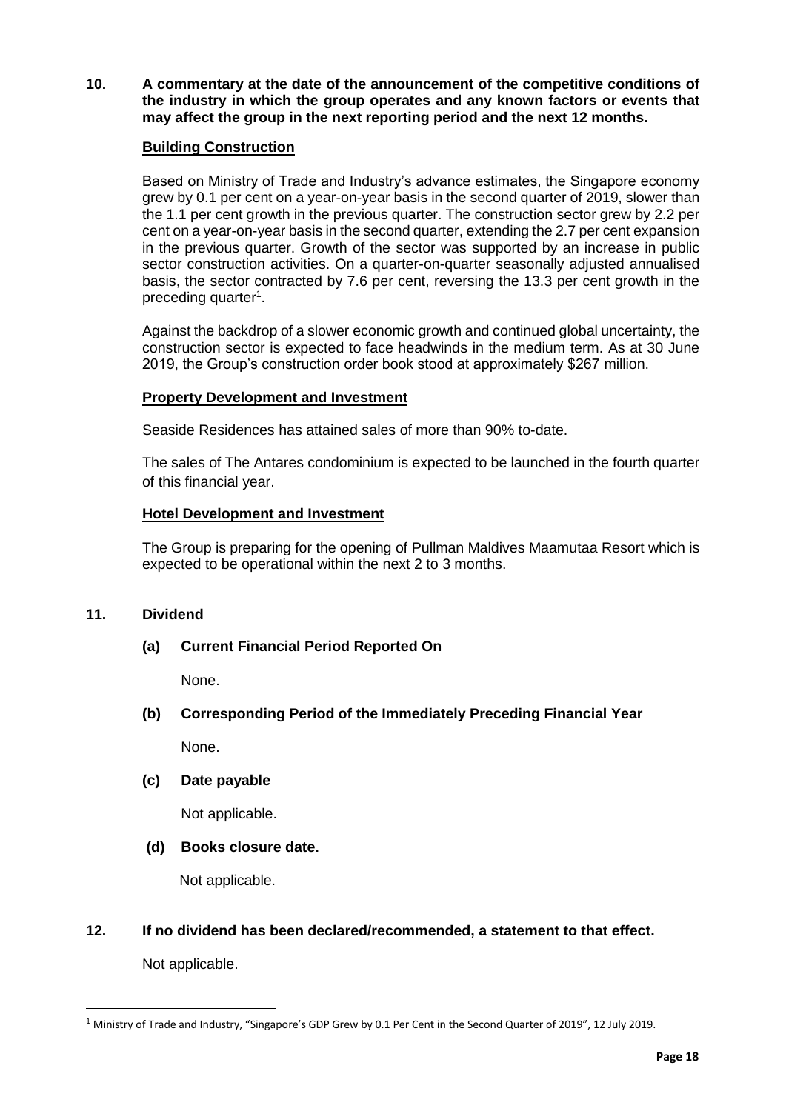**10. A commentary at the date of the announcement of the competitive conditions of the industry in which the group operates and any known factors or events that may affect the group in the next reporting period and the next 12 months.**

# **Building Construction**

Based on Ministry of Trade and Industry's advance estimates, the Singapore economy grew by 0.1 per cent on a year-on-year basis in the second quarter of 2019, slower than the 1.1 per cent growth in the previous quarter. The construction sector grew by 2.2 per cent on a year-on-year basis in the second quarter, extending the 2.7 per cent expansion in the previous quarter. Growth of the sector was supported by an increase in public sector construction activities. On a quarter-on-quarter seasonally adjusted annualised basis, the sector contracted by 7.6 per cent, reversing the 13.3 per cent growth in the preceding quarter<sup>1</sup>.

Against the backdrop of a slower economic growth and continued global uncertainty, the construction sector is expected to face headwinds in the medium term. As at 30 June 2019, the Group's construction order book stood at approximately \$267 million.

# **Property Development and Investment**

Seaside Residences has attained sales of more than 90% to-date.

The sales of The Antares condominium is expected to be launched in the fourth quarter of this financial year.

# **Hotel Development and Investment**

The Group is preparing for the opening of Pullman Maldives Maamutaa Resort which is expected to be operational within the next 2 to 3 months.

# **11. Dividend**

**(a) Current Financial Period Reported On**

None.

**(b) Corresponding Period of the Immediately Preceding Financial Year**

None.

# **(c) Date payable**

Not applicable.

# **(d) Books closure date.**

Not applicable.

# **12. If no dividend has been declared/recommended, a statement to that effect.**

Not applicable.

 $\overline{a}$ 

<sup>1</sup> Ministry of Trade and Industry, "Singapore's GDP Grew by 0.1 Per Cent in the Second Quarter of 2019", 12 July 2019.